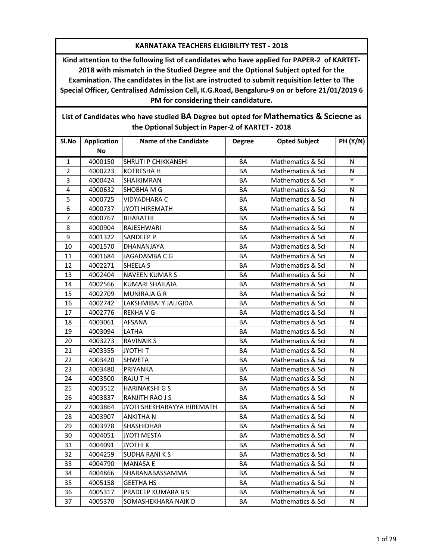## **KARNATAKA TEACHERS ELIGIBILITY TEST - 2018**

**Kind attention to the following list of candidates who have applied for PAPER-2 of KARTET-2018 with mismatch in the Studied Degree and the Optional Subject opted for the Examination. The candidates in the list are instructed to submit requisition letter to The Special Officer, Centralised Admission Cell, K.G.Road, Bengaluru-9 on or before 21/01/2019 6 PM for considering their candidature.**

|                | the Optional Subject in Paper-2 of KARTET - 2018 |                                   |               |                              |                 |  |  |
|----------------|--------------------------------------------------|-----------------------------------|---------------|------------------------------|-----------------|--|--|
| Sl.No          | <b>Application</b><br>No                         | <b>Name of the Candidate</b>      | <b>Degree</b> | <b>Opted Subject</b>         | <b>PH (Y/N)</b> |  |  |
| $\mathbf{1}$   | 4000150                                          | SHRUTI P CHIKKANSHI               | BA            | Mathematics & Sci            | N               |  |  |
| $\overline{2}$ | 4000223                                          | <b>KOTRESHAH</b>                  | <b>BA</b>     | Mathematics & Sci            | N               |  |  |
| 3              | 4000424                                          | SHAIKIMRAN                        | BA            | Mathematics & Sci            | Y               |  |  |
| 4              | 4000632                                          | SHOBHA M G                        | BA            | Mathematics & Sci            | N               |  |  |
| 5              | 4000725                                          | <b>VIDYADHARA C</b>               | BA            | Mathematics & Sci            | N               |  |  |
| 6              | 4000737                                          | <b>JYOTI HIREMATH</b>             | <b>BA</b>     | Mathematics & Sci            | N               |  |  |
| 7              | 4000767                                          | <b>BHARATHI</b>                   | BA            | Mathematics & Sci            | N               |  |  |
| 8              | 4000904                                          | RAJESHWARI                        | BA            | Mathematics & Sci            | N               |  |  |
| 9              | 4001322                                          | <b>SANDEEP P</b>                  | BA            | Mathematics & Sci            | N               |  |  |
| 10             | 4001570                                          | DHANANJAYA                        | BA            | Mathematics & Sci            | N               |  |  |
| 11             | 4001684                                          | JAGADAMBA C G                     | BA            | Mathematics & Sci            | N               |  |  |
| 12             | 4002271                                          | SHEELA S                          | BA            | Mathematics & Sci            | N               |  |  |
| 13             | 4002404                                          | <b>NAVEEN KUMARS</b>              | BA            | Mathematics & Sci            | N               |  |  |
| 14             | 4002566                                          | <b>KUMARI SHAILAJA</b>            | BA            | Mathematics & Sci            | N               |  |  |
| 15             | 4002709                                          | <b>MUNIRAJA G R</b>               | BA            | Mathematics & Sci            | N               |  |  |
| 16             | 4002742                                          | LAKSHMIBAI Y JALIGIDA             | BA            | Mathematics & Sci            | N               |  |  |
| 17             | 4002776                                          | <b>REKHAVG</b>                    | BA            | <b>Mathematics &amp; Sci</b> | N               |  |  |
| 18             | 4003061                                          | <b>AFSANA</b>                     | BA            | Mathematics & Sci            | N               |  |  |
| 19             | 4003094                                          | LATHA                             | <b>BA</b>     | Mathematics & Sci            | N               |  |  |
| 20             | 4003273                                          | <b>RAVINAIK S</b>                 | BA            | Mathematics & Sci            | N               |  |  |
| 21             | 4003355                                          | <b>JYOTHIT</b>                    | BA            | Mathematics & Sci            | N               |  |  |
| 22             | 4003420                                          | <b>SHWETA</b>                     | BA            | Mathematics & Sci            | N               |  |  |
| 23             | 4003480                                          | PRIYANKA                          | BA            | Mathematics & Sci            | N               |  |  |
| 24             | 4003500                                          | RAJU T H                          | BA            | Mathematics & Sci            | N               |  |  |
| 25             | 4003512                                          | <b>HARINAKSHI G S</b>             | BA            | Mathematics & Sci            | N               |  |  |
| 26             | 4003837                                          | RANJITH RAO J S                   | BA            | Mathematics & Sci            | N               |  |  |
| 27             | 4003864                                          | <b>JYOTI SHEKHARAYYA HIREMATH</b> | BA            | Mathematics & Sci            | N               |  |  |
| 28             | 4003907                                          | <b>ANKITHAN</b>                   | <b>BA</b>     | Mathematics & Sci            | N               |  |  |
| 29             | 4003978                                          | SHASHIDHAR                        | BA            | Mathematics & Sci            | N               |  |  |
| 30             | 4004051                                          | <b>JYOTI MESTA</b>                | BA            | Mathematics & Sci            | N               |  |  |
| 31             | 4004091                                          | <b>JYOTHIK</b>                    | BA            | Mathematics & Sci            | N               |  |  |
| 32             | 4004259                                          | <b>SUDHA RANIKS</b>               | BA            | Mathematics & Sci            | N               |  |  |
| 33             | 4004790                                          | <b>MANASA E</b>                   | BA            | Mathematics & Sci            | N               |  |  |
| 34             | 4004866                                          | SHARANABASSAMMA                   | BA            | Mathematics & Sci            | N               |  |  |
| 35             | 4005158                                          | <b>GEETHA HS</b>                  | BA            | Mathematics & Sci            | N               |  |  |
| 36             | 4005317                                          | PRADEEP KUMARA B S                | BA            | Mathematics & Sci            | N               |  |  |
| 37             | 4005370                                          | SOMASHEKHARA NAIK D               | ВA            | Mathematics & Sci            | N               |  |  |

**List of Candidates who have studied BA Degree but opted for Mathematics & Sciecne as the Optional Subject in Paper-2 of KARTET - 2018**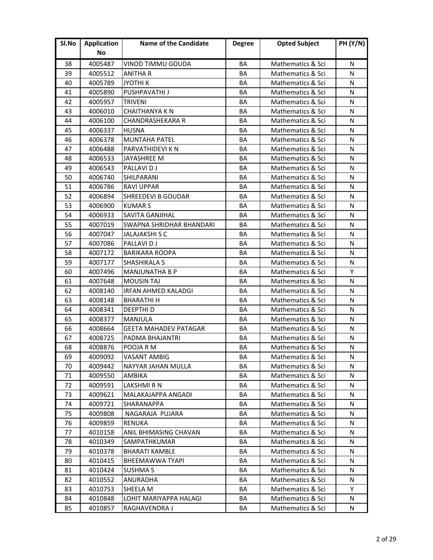| Sl.No | <b>Application</b> | <b>Name of the Candidate</b> | <b>Degree</b> | <b>Opted Subject</b> | <b>PH (Y/N)</b> |
|-------|--------------------|------------------------------|---------------|----------------------|-----------------|
|       | No                 |                              |               |                      |                 |
| 38    | 4005487            | VINOD TIMMU GOUDA            | BA            | Mathematics & Sci    | N               |
| 39    | 4005512            | <b>ANITHA R</b>              | ΒA            | Mathematics & Sci    | N               |
| 40    | 4005789            | <b>JYOTHIK</b>               | ΒA            | Mathematics & Sci    | N               |
| 41    | 4005890            | PUSHPAVATHI J                | ΒA            | Mathematics & Sci    | N               |
| 42    | 4005957            | <b>TRIVENI</b>               | BA            | Mathematics & Sci    | N               |
| 43    | 4006010            | <b>CHAITHANYA K N</b>        | BA            | Mathematics & Sci    | N               |
| 44    | 4006100            | <b>CHANDRASHEKARA R</b>      | BA            | Mathematics & Sci    | N               |
| 45    | 4006337            | <b>HUSNA</b>                 | ΒA            | Mathematics & Sci    | N               |
| 46    | 4006378            | <b>MUNTAHA PATEL</b>         | BA            | Mathematics & Sci    | N               |
| 47    | 4006488            | PARVATHIDEVI K N             | BA            | Mathematics & Sci    | N               |
| 48    | 4006533            | JAYASHREE M                  | BA            | Mathematics & Sci    | N               |
| 49    | 4006543            | <b>PALLAVIDJ</b>             | ΒA            | Mathematics & Sci    | N               |
| 50    | 4006740            | <b>SHILPARANI</b>            | ΒA            | Mathematics & Sci    | N               |
| 51    | 4006786            | <b>RAVI UPPAR</b>            | ΒA            | Mathematics & Sci    | N               |
| 52    | 4006894            | <b>SHREEDEVI B GOUDAR</b>    | BA            | Mathematics & Sci    | N               |
| 53    | 4006900            | <b>KUMARS</b>                | BA            | Mathematics & Sci    | N               |
| 54    | 4006933            | <b>SAVITA GANJIHAL</b>       | BA            | Mathematics & Sci    | N               |
| 55    | 4007019            | SWAPNA SHRIDHAR BHANDARI     | BA            | Mathematics & Sci    | N               |
| 56    | 4007047            | <b>JALAJAKSHI S C</b>        | BA            | Mathematics & Sci    | N               |
| 57    | 4007086            | PALLAVI D J                  | ΒA            | Mathematics & Sci    | N               |
| 58    | 4007172            | <b>BARIKARA ROOPA</b>        | <b>BA</b>     | Mathematics & Sci    | N               |
| 59    | 4007177            | <b>SHASHIKALA S</b>          | BA            | Mathematics & Sci    | N               |
| 60    | 4007496            | <b>MANJUNATHA B P</b>        | ΒA            | Mathematics & Sci    | Y               |
| 61    | 4007648            | <b>MOUSIN TAJ</b>            | BA            | Mathematics & Sci    | N               |
| 62    | 4008140            | <b>IRFAN AHMED KALADGI</b>   | BA            | Mathematics & Sci    | N               |
| 63    | 4008148            | <b>BHARATHI H</b>            | ΒA            | Mathematics & Sci    | N               |
| 64    | 4008341            | <b>DEEPTHID</b>              | BA            | Mathematics & Sci    | N               |
| 65    | 4008377            | <b>MANJULA</b>               | BA            | Mathematics & Sci    | N               |
| 66    | 4008664            | <b>GEETA MAHADEV PATAGAR</b> | BA            | Mathematics & Sci    | N               |
| 67    | 4008725            | PADMA BHAJANTRI              | <b>BA</b>     | Mathematics & Sci    | N               |
| 68    | 4008876            | POOJA R M                    | BA            | Mathematics & Sci    | N               |
| 69    | 4009092            | VASANT AMBIG                 | ВA            | Mathematics & Sci    | N               |
| 70    | 4009442            | NAYYAR JAHAN MULLA           | BA            | Mathematics & Sci    | N               |
| 71    | 4009550            | <b>AMBIKA</b>                | BA            | Mathematics & Sci    | N               |
| 72    | 4009591            | LAKSHMI R N                  | BA            | Mathematics & Sci    | N               |
| 73    | 4009621            | MALAKAJAPPA ANGADI           | ВA            | Mathematics & Sci    | N               |
| 74    | 4009721            | <b>SHARANAPPA</b>            | BA            | Mathematics & Sci    | N               |
| 75    | 4009808            | NAGARAJA PUJARA              | BA            | Mathematics & Sci    | N               |
| 76    | 4009859            | <b>RENUKA</b>                | BA            | Mathematics & Sci    | N               |
| 77    | 4010158            | ANIL BHIMASING CHAVAN        | BA            | Mathematics & Sci    | N               |
| 78    | 4010349            | SAMPATHKUMAR                 | BA            | Mathematics & Sci    | N               |
| 79    | 4010378            | <b>BHARATI KAMBLE</b>        | BA            | Mathematics & Sci    | N               |
| 80    | 4010415            | <b>BHEEMAWWA TYAPI</b>       | BA            | Mathematics & Sci    | N               |
| 81    | 4010424            | <b>SUSHMA S</b>              | BA            | Mathematics & Sci    | N               |
| 82    | 4010552            | ANURADHA                     | BА            | Mathematics & Sci    | N               |
| 83    | 4010753            | SHEELA M                     | BA            | Mathematics & Sci    | Y               |
| 84    | 4010848            | LOHIT MARIYAPPA HALAGI       | ВA            | Mathematics & Sci    | N               |
| 85    | 4010857            | RAGHAVENDRA J                | BA            | Mathematics & Sci    | N               |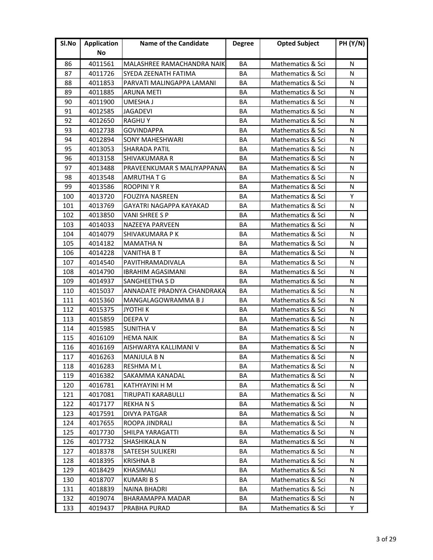| Sl.No | <b>Application</b> | <b>Name of the Candidate</b>       | <b>Degree</b> | <b>Opted Subject</b> | <b>PH (Y/N)</b> |
|-------|--------------------|------------------------------------|---------------|----------------------|-----------------|
|       | No                 |                                    |               |                      |                 |
| 86    | 4011561            | MALASHREE RAMACHANDRA NAIK         | ΒA            | Mathematics & Sci    | N               |
| 87    | 4011726            | SYEDA ZEENATH FATIMA               | ΒA            | Mathematics & Sci    | N               |
| 88    | 4011853            | PARVATI MALINGAPPA LAMANI          | ΒA            | Mathematics & Sci    | N               |
| 89    | 4011885            | <b>ARUNA METI</b>                  | BA            | Mathematics & Sci    | N               |
| 90    | 4011900            | UMESHA J                           | ΒA            | Mathematics & Sci    | N               |
| 91    | 4012585            | <b>JAGADEVI</b>                    | BA            | Mathematics & Sci    | N               |
| 92    | 4012650            | <b>RAGHUY</b>                      | BA            | Mathematics & Sci    | N               |
| 93    | 4012738            | <b>GOVINDAPPA</b>                  | ΒA            | Mathematics & Sci    | N               |
| 94    | 4012894            | <b>SONY MAHESHWARI</b>             | BA            | Mathematics & Sci    | N               |
| 95    | 4013053            | <b>SHARADA PATIL</b>               | BA            | Mathematics & Sci    | N               |
| 96    | 4013158            | <b>SHIVAKUMARA R</b>               | BA            | Mathematics & Sci    | N               |
| 97    | 4013488            | <b>PRAVEENKUMAR S MALIYAPPANAV</b> | <b>BA</b>     | Mathematics & Sci    | N               |
| 98    | 4013548            | <b>AMRUTHATG</b>                   | BA            | Mathematics & Sci    | N               |
| 99    | 4013586            | <b>ROOPINI Y R</b>                 | BA            | Mathematics & Sci    | N               |
| 100   | 4013720            | <b>FOUZIYA NASREEN</b>             | BA            | Mathematics & Sci    | Y               |
| 101   | 4013769            | <b>GAYATRI NAGAPPA KAYAKAD</b>     | ΒA            | Mathematics & Sci    | N               |
| 102   | 4013850            | VANI SHREE S P                     | BA            | Mathematics & Sci    | N               |
| 103   | 4014033            | NAZEEYA PARVEEN                    | BA            | Mathematics & Sci    | N               |
| 104   | 4014079            | SHIVAKUMARA P K                    | BA            | Mathematics & Sci    | N               |
| 105   | 4014182            | <b>MAMATHAN</b>                    | BA            | Mathematics & Sci    | N               |
| 106   | 4014228            | <b>VANITHA B T</b>                 | BA            | Mathematics & Sci    | N               |
| 107   | 4014540            | PAVITHRAMADIVALA                   | BA            | Mathematics & Sci    | N               |
| 108   | 4014790            | <b>IBRAHIM AGASIMANI</b>           | ΒA            | Mathematics & Sci    | N               |
| 109   | 4014937            | <b>SANGHEETHA S D</b>              | BA            | Mathematics & Sci    | N               |
| 110   | 4015037            | ANNADATE PRADNYA CHANDRAKA         | BA            | Mathematics & Sci    | N               |
| 111   | 4015360            | MANGALAGOWRAMMA B J                | BA            | Mathematics & Sci    | N               |
| 112   | 4015375            | JYOTHI K                           | BA            | Mathematics & Sci    | N               |
| 113   | 4015859            | <b>DEEPAV</b>                      | BA            | Mathematics & Sci    | N               |
| 114   | 4015985            | <b>SUNITHA V</b>                   | BA            | Mathematics & Sci    | N               |
| 115   | 4016109            | <b>HEMA NAIK</b>                   | BA            | Mathematics & Sci    | N               |
| 116   | 4016169            | AISHWARYA KALLIMANI V              | BA            | Mathematics & Sci    | N               |
| 117   | 4016263            | <b>MANJULA B N</b>                 | ΒA            | Mathematics & Sci    | N               |
| 118   | 4016283            | <b>RESHMA ML</b>                   | BA            | Mathematics & Sci    | N               |
| 119   | 4016382            | SAKAMMA KANADAL                    | BA            | Mathematics & Sci    | N               |
| 120   | 4016781            | KATHYAYINI H M                     | BA            | Mathematics & Sci    | N               |
| 121   | 4017081            | <b>TIRUPATI KARABULLI</b>          | ВA            | Mathematics & Sci    | N               |
| 122   | 4017177            | <b>REKHANS</b>                     | ВA            | Mathematics & Sci    | N               |
| 123   | 4017591            | <b>DIVYA PATGAR</b>                | BA            | Mathematics & Sci    | N               |
| 124   | 4017655            | ROOPA JINDRALI                     | BA            | Mathematics & Sci    | N               |
| 125   | 4017730            | SHILPA YARAGATTI                   | ВA            | Mathematics & Sci    | N               |
| 126   | 4017732            | SHASHIKALA N                       | BA            | Mathematics & Sci    | N               |
| 127   | 4018378            | <b>SATEESH SULIKERI</b>            | BA            | Mathematics & Sci    | N               |
| 128   | 4018395            | <b>KRISHNA B</b>                   | BA            | Mathematics & Sci    | N               |
| 129   | 4018429            | <b>KHASIMALI</b>                   | BA            | Mathematics & Sci    | N               |
| 130   | 4018707            | <b>KUMARIBS</b>                    | ΒA            | Mathematics & Sci    | N               |
| 131   | 4018839            | <b>NAINA BHADRI</b>                | BA            | Mathematics & Sci    | N               |
| 132   | 4019074            | BHARAMAPPA MADAR                   | BA            | Mathematics & Sci    | N               |
| 133   | 4019437            | PRABHA PURAD                       | ВA            | Mathematics & Sci    | Y               |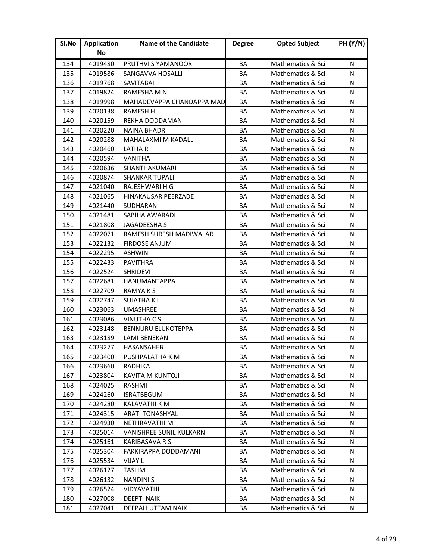| Sl.No | <b>Application</b> | <b>Name of the Candidate</b> | <b>Degree</b> | <b>Opted Subject</b> | <b>PH (Y/N)</b> |
|-------|--------------------|------------------------------|---------------|----------------------|-----------------|
|       | No                 |                              |               |                      |                 |
| 134   | 4019480            | PRUTHVI S YAMANOOR           | <b>BA</b>     | Mathematics & Sci    | N               |
| 135   | 4019586            | <b>SANGAVVA HOSALLI</b>      | ΒA            | Mathematics & Sci    | N               |
| 136   | 4019768            | <b>SAVITABAI</b>             | ΒA            | Mathematics & Sci    | N               |
| 137   | 4019824            | RAMESHA M N                  | BA            | Mathematics & Sci    | N               |
| 138   | 4019998            | MAHADEVAPPA CHANDAPPA MAD    | ΒA            | Mathematics & Sci    | N               |
| 139   | 4020138            | <b>RAMESH H</b>              | BA            | Mathematics & Sci    | N               |
| 140   | 4020159            | REKHA DODDAMANI              | BA            | Mathematics & Sci    | N               |
| 141   | 4020220            | <b>NAINA BHADRI</b>          | ΒA            | Mathematics & Sci    | N               |
| 142   | 4020288            | <b>MAHALAXMI M KADALLI</b>   | BA            | Mathematics & Sci    | N               |
| 143   | 4020460            | LATHA R                      | BA            | Mathematics & Sci    | N               |
| 144   | 4020594            | <b>VANITHA</b>               | BA            | Mathematics & Sci    | N               |
| 145   | 4020636            | SHANTHAKUMARI                | <b>BA</b>     | Mathematics & Sci    | N               |
| 146   | 4020874            | <b>SHANKAR TUPALI</b>        | BA            | Mathematics & Sci    | N               |
| 147   | 4021040            | RAJESHWARI H G               | BA            | Mathematics & Sci    | N               |
| 148   | 4021065            | <b>HINAKAUSAR PEERZADE</b>   | BA            | Mathematics & Sci    | N               |
| 149   | 4021440            | <b>SUDHARANI</b>             | ΒA            | Mathematics & Sci    | N               |
| 150   | 4021481            | <b>SABIHA AWARADI</b>        | BA            | Mathematics & Sci    | N               |
| 151   | 4021808            | JAGADEESHA S                 | BA            | Mathematics & Sci    | N               |
| 152   | 4022071            | RAMESH SURESH MADIWALAR      | BA            | Mathematics & Sci    | N               |
| 153   | 4022132            | <b>FIRDOSE ANJUM</b>         | BA            | Mathematics & Sci    | N               |
| 154   | 4022295            | <b>ASHWINI</b>               | BA            | Mathematics & Sci    | N               |
| 155   | 4022433            | <b>PAVITHRA</b>              | BA            | Mathematics & Sci    | N               |
| 156   | 4022524            | <b>SHRIDEVI</b>              | ΒA            | Mathematics & Sci    | N               |
| 157   | 4022681            | <b>HANUMANTAPPA</b>          | BA            | Mathematics & Sci    | N               |
| 158   | 4022709            | RAMYA K S                    | BA            | Mathematics & Sci    | N               |
| 159   | 4022747            | <b>SUJATHA KL</b>            | BA            | Mathematics & Sci    | N               |
| 160   | 4023063            | <b>UMASHREE</b>              | BA            | Mathematics & Sci    | N               |
| 161   | 4023086            | <b>VINUTHA CS</b>            | BA            | Mathematics & Sci    | N               |
| 162   | 4023148            | <b>BENNURU ELUKOTEPPA</b>    | BA            | Mathematics & Sci    | N               |
| 163   | 4023189            | LAMI BENEKAN                 | BA            | Mathematics & Sci    | N               |
| 164   | 4023277            | HASANSAHEB                   | BA            | Mathematics & Sci    | N               |
| 165   | 4023400            | PUSHPALATHA K M              | ΒA            | Mathematics & Sci    | N               |
| 166   | 4023660            | <b>RADHIKA</b>               | BA            | Mathematics & Sci    | N               |
| 167   | 4023804            | <b>KAVITA M KUNTOJI</b>      | BA            | Mathematics & Sci    | N               |
| 168   | 4024025            | RASHMI                       | BA            | Mathematics & Sci    | N               |
| 169   | 4024260            | <b>ISRATBEGUM</b>            | ΒA            | Mathematics & Sci    | N               |
| 170   | 4024280            | KALAVATHI K M                | BA            | Mathematics & Sci    | N               |
| 171   | 4024315            | ARATI TONASHYAL              | BA            | Mathematics & Sci    | N               |
| 172   | 4024930            | NETHRAVATHI M                | BA            | Mathematics & Sci    | N               |
| 173   | 4025014            | VANISHREE SUNIL KULKARNI     | BA            | Mathematics & Sci    | N               |
| 174   | 4025161            | <b>KARIBASAVA R S</b>        | BA            | Mathematics & Sci    | N               |
| 175   | 4025304            | FAKKIRAPPA DODDAMANI         | BA            | Mathematics & Sci    | N               |
| 176   | 4025534            | <b>VIJAY L</b>               | <b>BA</b>     | Mathematics & Sci    | N               |
| 177   | 4026127            | <b>TASLIM</b>                | BA            | Mathematics & Sci    | N               |
| 178   | 4026132            | <b>NANDINIS</b>              | BA            | Mathematics & Sci    | N               |
| 179   | 4026524            | VIDYAVATHI                   | BA            | Mathematics & Sci    | N               |
| 180   | 4027008            | <b>DEEPTI NAIK</b>           | BA            | Mathematics & Sci    | N               |
| 181   | 4027041            | DEEPALI UTTAM NAIK           | BA            | Mathematics & Sci    | N               |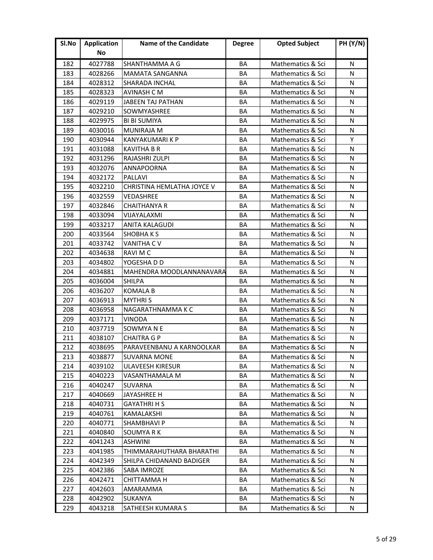| Sl.No | <b>Application</b> | <b>Name of the Candidate</b> | <b>Degree</b> | <b>Opted Subject</b> | <b>PH (Y/N)</b> |
|-------|--------------------|------------------------------|---------------|----------------------|-----------------|
|       | No                 |                              |               |                      |                 |
| 182   | 4027788            | SHANTHAMMA A G               | BA            | Mathematics & Sci    | N               |
| 183   | 4028266            | <b>MAMATA SANGANNA</b>       | BA            | Mathematics & Sci    | N               |
| 184   | 4028312            | <b>SHARADA INCHAL</b>        | BA            | Mathematics & Sci    | N               |
| 185   | 4028323            | AVINASH C M                  | BA            | Mathematics & Sci    | N               |
| 186   | 4029119            | JABEEN TAJ PATHAN            | BA            | Mathematics & Sci    | N               |
| 187   | 4029210            | SOWMYASHREE                  | BA            | Mathematics & Sci    | N               |
| 188   | 4029975            | <b>BI BI SUMIYA</b>          | BA            | Mathematics & Sci    | N               |
| 189   | 4030016            | <b>MUNIRAJA M</b>            | BA            | Mathematics & Sci    | N               |
| 190   | 4030944            | <b>KANYAKUMARI K P</b>       | BA            | Mathematics & Sci    | Y               |
| 191   | 4031088            | <b>KAVITHA B R</b>           | BA            | Mathematics & Sci    | N               |
| 192   | 4031296            | RAJASHRI ZULPI               | BA            | Mathematics & Sci    | N               |
| 193   | 4032076            | <b>ANNAPOORNA</b>            | BA            | Mathematics & Sci    | N               |
| 194   | 4032172            | <b>PALLAVI</b>               | BA            | Mathematics & Sci    | N               |
| 195   | 4032210            | CHRISTINA HEMLATHA JOYCE V   | BA            | Mathematics & Sci    | N               |
| 196   | 4032559            | <b>VEDASHREE</b>             | BA            | Mathematics & Sci    | N               |
| 197   | 4032846            | <b>CHAITHANYA R</b>          | BA            | Mathematics & Sci    | N               |
| 198   | 4033094            | VIJAYALAXMI                  | BA            | Mathematics & Sci    | N               |
| 199   | 4033217            | ANITA KALAGUDI               | BA            | Mathematics & Sci    | N               |
| 200   | 4033564            | <b>SHOBHAKS</b>              | BA            | Mathematics & Sci    | N               |
| 201   | 4033742            | <b>VANITHA CV</b>            | BA            | Mathematics & Sci    | N               |
| 202   | 4034638            | RAVI M C                     | <b>BA</b>     | Mathematics & Sci    | N               |
| 203   | 4034802            | YOGESHA D D                  | BA            | Mathematics & Sci    | N               |
| 204   | 4034881            | MAHENDRA MOODLANNANAVARA     | BA            | Mathematics & Sci    | N               |
| 205   | 4036004            | <b>SHILPA</b>                | BA            | Mathematics & Sci    | N               |
| 206   | 4036207            | <b>KOMALA B</b>              | BA            | Mathematics & Sci    | N               |
| 207   | 4036913            | <b>MYTHRIS</b>               | BA            | Mathematics & Sci    | N               |
| 208   | 4036958            | NAGARATHNAMMA K C            | BA            | Mathematics & Sci    | N               |
| 209   | 4037171            | VINODA                       | BA            | Mathematics & Sci    | N               |
| 210   | 4037719            | SOWMYA N E                   | BA            | Mathematics & Sci    | N               |
| 211   | 4038107            | <b>CHAITRA G P</b>           | <b>BA</b>     | Mathematics & Sci    | N               |
| 212   | 4038695            | PARAVEENBANU A KARNOOLKAR    | BA            | Mathematics & Sci    | N               |
| 213   | 4038877            | <b>SUVARNA MONE</b>          | ВA            | Mathematics & Sci    | N               |
| 214   | 4039102            | <b>ULAVEESH KIRESUR</b>      | BA            | Mathematics & Sci    | N               |
| 215   | 4040223            | VASANTHAMALA M               | BA            | Mathematics & Sci    | N               |
| 216   | 4040247            | <b>SUVARNA</b>               | BA            | Mathematics & Sci    | N               |
| 217   | 4040669            | JAYASHREE H                  | BА            | Mathematics & Sci    | N               |
| 218   | 4040731            | <b>GAYATHRI H S</b>          | BA            | Mathematics & Sci    | N               |
| 219   | 4040761            | KAMALAKSHI                   | BA            | Mathematics & Sci    | N               |
| 220   | 4040771            | <b>SHAMBHAVI P</b>           | BA            | Mathematics & Sci    | N               |
| 221   | 4040840            | SOUMYA R K                   | BA            | Mathematics & Sci    | N               |
| 222   | 4041243            | <b>ASHWINI</b>               | BA            | Mathematics & Sci    | N               |
| 223   | 4041985            | THIMMARAHUTHARA BHARATHI     | BA            | Mathematics & Sci    | N               |
| 224   | 4042349            | SHILPA CHIDANAND BADIGER     | BA            | Mathematics & Sci    | N               |
| 225   | 4042386            | SABA IMROZE                  | BA            | Mathematics & Sci    | N               |
| 226   | 4042471            | CHITTAMMA H                  | BА            | Mathematics & Sci    | N               |
| 227   | 4042603            | AMARAMMA                     | ВA            | Mathematics & Sci    | N               |
| 228   | 4042902            | <b>SUKANYA</b>               | BA            | Mathematics & Sci    | N               |
| 229   | 4043218            | SATHEESH KUMARA S            | BA            | Mathematics & Sci    | N               |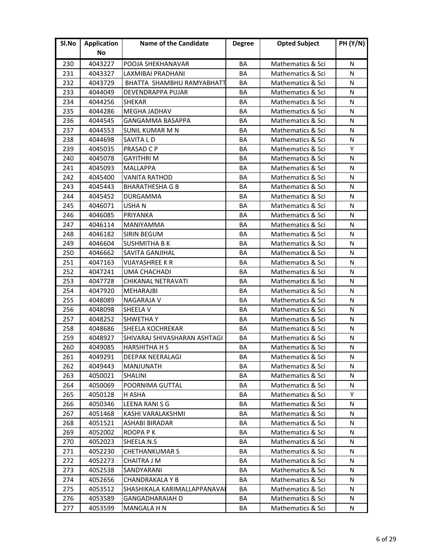| Sl.No | <b>Application</b> | <b>Name of the Candidate</b> | <b>Degree</b> | <b>Opted Subject</b> | <b>PH (Y/N)</b> |
|-------|--------------------|------------------------------|---------------|----------------------|-----------------|
|       | No                 |                              |               |                      |                 |
| 230   | 4043227            | POOJA SHEKHANAVAR            | <b>BA</b>     | Mathematics & Sci    | N               |
| 231   | 4043327            | LAXMIBAI PRADHANI            | <b>BA</b>     | Mathematics & Sci    | N               |
| 232   | 4043729            | BHATTA SHAMBHU RAMYABHATT    | BA            | Mathematics & Sci    | N               |
| 233   | 4044049            | DEVENDRAPPA PUJAR            | BA            | Mathematics & Sci    | N               |
| 234   | 4044256            | <b>SHEKAR</b>                | BA            | Mathematics & Sci    | N               |
| 235   | 4044286            | <b>MEGHA JADHAV</b>          | BA            | Mathematics & Sci    | N               |
| 236   | 4044545            | GANGAMMA BASAPPA             | BA            | Mathematics & Sci    | N               |
| 237   | 4044553            | <b>SUNIL KUMAR M N</b>       | BA            | Mathematics & Sci    | N               |
| 238   | 4044698            | SAVITA L D                   | BA            | Mathematics & Sci    | N               |
| 239   | 4045035            | PRASAD C P                   | BA            | Mathematics & Sci    | Y               |
| 240   | 4045078            | <b>GAYITHRI M</b>            | BA            | Mathematics & Sci    | N               |
| 241   | 4045093            | MALLAPPA                     | <b>BA</b>     | Mathematics & Sci    | N               |
| 242   | 4045400            | <b>VANITA RATHOD</b>         | BA            | Mathematics & Sci    | N               |
| 243   | 4045443            | <b>BHARATHESHA G B</b>       | BA            | Mathematics & Sci    | N               |
| 244   | 4045452            | <b>DURGAMMA</b>              | BA            | Mathematics & Sci    | N               |
| 245   | 4046071            | <b>USHAN</b>                 | BA            | Mathematics & Sci    | N               |
| 246   | 4046085            | PRIYANKA                     | BA            | Mathematics & Sci    | N               |
| 247   | 4046114            | MANIYAMMA                    | BA            | Mathematics & Sci    | N               |
| 248   | 4046182            | <b>SIRIN BEGUM</b>           | BA            | Mathematics & Sci    | N               |
| 249   | 4046604            | <b>SUSHMITHA B K</b>         | BA            | Mathematics & Sci    | N               |
| 250   | 4046662            | <b>SAVITA GANJIHAL</b>       | BA            | Mathematics & Sci    | N               |
| 251   | 4047163            | <b>VIJAYASHREE K R</b>       | BA            | Mathematics & Sci    | N               |
| 252   | 4047241            | UMA CHACHADI                 | BA            | Mathematics & Sci    | N               |
| 253   | 4047728            | CHIKANAL NETRAVATI           | BA            | Mathematics & Sci    | N               |
| 254   | 4047920            | <b>MEHARAJBI</b>             | BA            | Mathematics & Sci    | N               |
| 255   | 4048089            | <b>NAGARAJA V</b>            | BA            | Mathematics & Sci    | N               |
| 256   | 4048098            | SHEELA V                     | BA            | Mathematics & Sci    | N               |
| 257   | 4048252            | <b>SHWETHAY</b>              | BA            | Mathematics & Sci    | N               |
| 258   | 4048686            | <b>SHEELA KOCHREKAR</b>      | BA            | Mathematics & Sci    | N               |
| 259   | 4048927            | SHIVARAJ SHIVASHARAN ASHTAGI | BA            | Mathematics & Sci    | N               |
| 260   | 4049085            | <b>HARSHITHA H S</b>         | BA            | Mathematics & Sci    | N               |
| 261   | 4049291            | <b>DEEPAK NEERALAGI</b>      | ΒA            | Mathematics & Sci    | N               |
| 262   | 4049443            | <b>MANJUNATH</b>             | BA            | Mathematics & Sci    | N               |
| 263   | 4050021            | <b>SHALINI</b>               | BA            | Mathematics & Sci    | N               |
| 264   | 4050069            | POORNIMA GUTTAL              | BA            | Mathematics & Sci    | N               |
| 265   | 4050128            | H ASHA                       | ВA            | Mathematics & Sci    | Υ               |
| 266   | 4050346            | LEENA RANI S G               | BA            | Mathematics & Sci    | N               |
| 267   | 4051468            | KASHI VARALAKSHMI            | BA            | Mathematics & Sci    | N               |
| 268   | 4051521            | <b>ASHABI BIRADAR</b>        | BA            | Mathematics & Sci    | N               |
| 269   | 4052002            | ROOPA P K                    | ВA            | Mathematics & Sci    | N               |
| 270   | 4052023            | SHEELA.N.S                   | BA            | Mathematics & Sci    | N               |
| 271   | 4052230            | <b>CHETHANKUMAR S</b>        | BA            | Mathematics & Sci    | N               |
| 272   | 4052273            | CHAITRA J M                  | BA            | Mathematics & Sci    | N               |
| 273   | 4052538            | SANDYARANI                   | BA            | Mathematics & Sci    | N               |
| 274   | 4052656            | CHANDRAKALA Y B              | BA            | Mathematics & Sci    | N               |
| 275   | 4053512            | SHASHIKALA KARIMALLAPPANAVAI | BA            | Mathematics & Sci    | N               |
| 276   | 4053589            | GANGADHARAIAH D              | BA            | Mathematics & Sci    | N               |
| 277   | 4053599            | MANGALA H N                  | ВA            | Mathematics & Sci    | N               |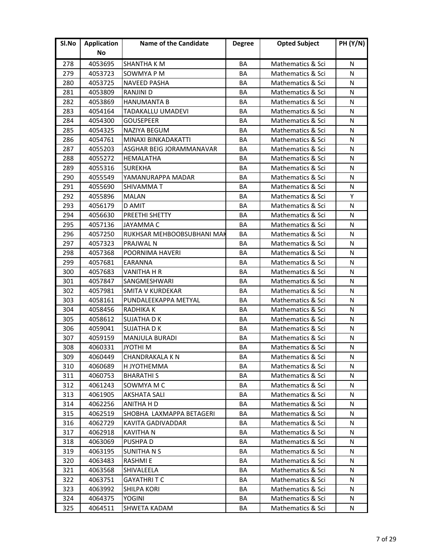| Sl.No | <b>Application</b> | <b>Name of the Candidate</b> | <b>Degree</b> | <b>Opted Subject</b> | <b>PH (Y/N)</b> |
|-------|--------------------|------------------------------|---------------|----------------------|-----------------|
|       | No                 |                              |               |                      |                 |
| 278   | 4053695            | SHANTHA K M                  | <b>BA</b>     | Mathematics & Sci    | N               |
| 279   | 4053723            | SOWMYA P M                   | BA            | Mathematics & Sci    | N               |
| 280   | 4053725            | NAVEED PASHA                 | BA            | Mathematics & Sci    | N               |
| 281   | 4053809            | <b>RANJINI D</b>             | BA            | Mathematics & Sci    | N               |
| 282   | 4053869            | <b>HANUMANTA B</b>           | BA            | Mathematics & Sci    | N               |
| 283   | 4054164            | <b>TADAKALLU UMADEVI</b>     | BA            | Mathematics & Sci    | N               |
| 284   | 4054300            | <b>GOUSEPEER</b>             | BA            | Mathematics & Sci    | N               |
| 285   | 4054325            | <b>NAZIYA BEGUM</b>          | BA            | Mathematics & Sci    | N               |
| 286   | 4054761            | MINAXI BINKADAKATTI          | BA            | Mathematics & Sci    | N               |
| 287   | 4055203            | ASGHAR BEIG JORAMMANAVAR     | BA            | Mathematics & Sci    | N               |
| 288   | 4055272            | <b>HEMALATHA</b>             | BA            | Mathematics & Sci    | N               |
| 289   | 4055316            | <b>SUREKHA</b>               | <b>BA</b>     | Mathematics & Sci    | N               |
| 290   | 4055549            | YAMANURAPPA MADAR            | BA            | Mathematics & Sci    | N               |
| 291   | 4055690            | SHIVAMMAT                    | BA            | Mathematics & Sci    | N               |
| 292   | 4055896            | <b>MALAN</b>                 | BA            | Mathematics & Sci    | Y               |
| 293   | 4056179            | D AMIT                       | BA            | Mathematics & Sci    | N               |
| 294   | 4056630            | <b>PREETHI SHETTY</b>        | BA            | Mathematics & Sci    | N               |
| 295   | 4057136            | <b>JAYAMMA C</b>             | BA            | Mathematics & Sci    | N               |
| 296   | 4057250            | RUKHSAR MEHBOOBSUBHANI MAK   | BA            | Mathematics & Sci    | N               |
| 297   | 4057323            | PRAJWAL N                    | BA            | Mathematics & Sci    | N               |
| 298   | 4057368            | POORNIMA HAVERI              | <b>BA</b>     | Mathematics & Sci    | N               |
| 299   | 4057681            | EARANNA                      | BA            | Mathematics & Sci    | N               |
| 300   | 4057683            | VANITHA H R                  | BA            | Mathematics & Sci    | N               |
| 301   | 4057847            | <b>SANGMESHWARI</b>          | BA            | Mathematics & Sci    | N               |
| 302   | 4057981            | <b>SMITA V KURDEKAR</b>      | BA            | Mathematics & Sci    | N               |
| 303   | 4058161            | PUNDALEEKAPPA METYAL         | BA            | Mathematics & Sci    | N               |
| 304   | 4058456            | RADHIKA K                    | BA            | Mathematics & Sci    | N               |
| 305   | 4058612            | <b>SUJATHA D K</b>           | BA            | Mathematics & Sci    | N               |
| 306   | 4059041            | <b>SUJATHA D K</b>           | BA            | Mathematics & Sci    | N               |
| 307   | 4059159            | <b>MANJULA BURADI</b>        | BA            | Mathematics & Sci    | N               |
| 308   | 4060331            | <b>N IHTOYL</b>              | BA            | Mathematics & Sci    | N               |
| 309   | 4060449            | <b>CHANDRAKALA K N</b>       | ΒA            | Mathematics & Sci    | N               |
| 310   | 4060689            | H JYOTHEMMA                  | BA            | Mathematics & Sci    | N               |
| 311   | 4060753            | <b>BHARATHIS</b>             | BA            | Mathematics & Sci    | N               |
| 312   | 4061243            | SOWMYA M C                   | BA            | Mathematics & Sci    | N               |
| 313   | 4061905            | <b>AKSHATA SALI</b>          | ΒA            | Mathematics & Sci    | N               |
| 314   | 4062256            | ANITHA H D                   | ВA            | Mathematics & Sci    | N               |
| 315   | 4062519            | SHOBHA LAXMAPPA BETAGERI     | BA            | Mathematics & Sci    | N               |
| 316   | 4062729            | KAVITA GADIVADDAR            | BA            | Mathematics & Sci    | N               |
| 317   | 4062918            | <b>KAVITHA N</b>             | BA            | Mathematics & Sci    | N               |
| 318   | 4063069            | <b>PUSHPAD</b>               | BA            | Mathematics & Sci    | N               |
| 319   | 4063195            | <b>SUNITHANS</b>             | BA            | Mathematics & Sci    | N               |
| 320   | 4063483            | <b>RASHMIE</b>               | BA            | Mathematics & Sci    | N               |
| 321   | 4063568            | SHIVALEELA                   | BA            | Mathematics & Sci    | N               |
| 322   | 4063751            | GAYATHRI T C                 | BA            | Mathematics & Sci    | N               |
| 323   | 4063992            | <b>SHILPA KORI</b>           | BA            | Mathematics & Sci    | N               |
| 324   | 4064375            | <b>YOGINI</b>                | BA            | Mathematics & Sci    | N               |
| 325   | 4064511            | SHWETA KADAM                 | BA            | Mathematics & Sci    | N               |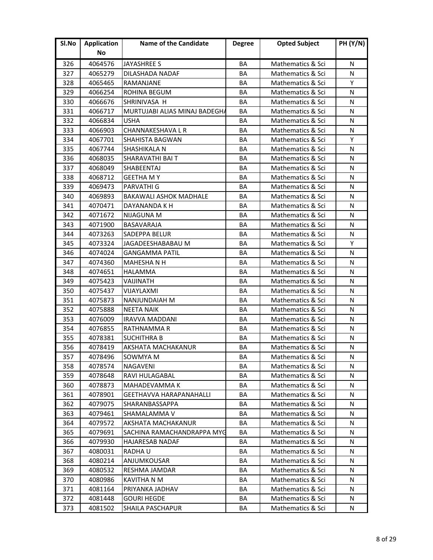| SI.No | <b>Application</b> | <b>Name of the Candidate</b>  | <b>Degree</b> | <b>Opted Subject</b> | <b>PH (Y/N)</b> |
|-------|--------------------|-------------------------------|---------------|----------------------|-----------------|
|       | No                 |                               |               |                      |                 |
| 326   | 4064576            | <b>JAYASHREE S</b>            | BA            | Mathematics & Sci    | N               |
| 327   | 4065279            | DILASHADA NADAF               | BA            | Mathematics & Sci    | N               |
| 328   | 4065465            | RAMANJANE                     | BA            | Mathematics & Sci    | Y               |
| 329   | 4066254            | <b>ROHINA BEGUM</b>           | <b>BA</b>     | Mathematics & Sci    | N               |
| 330   | 4066676            | SHRINIVASA H                  | BA            | Mathematics & Sci    | N               |
| 331   | 4066717            | MURTUJABI ALIAS MINAJ BADEGHA | BA            | Mathematics & Sci    | N               |
| 332   | 4066834            | <b>USHA</b>                   | BA            | Mathematics & Sci    | N               |
| 333   | 4066903            | CHANNAKESHAVA L R             | BA            | Mathematics & Sci    | N               |
| 334   | 4067701            | SHAHISTA BAGWAN               | BA            | Mathematics & Sci    | Y               |
| 335   | 4067744            | SHASHIKALA N                  | BA            | Mathematics & Sci    | N               |
| 336   | 4068035            | SHARAVATHI BAI T              | BA            | Mathematics & Sci    | N               |
| 337   | 4068049            | <b>SHABEENTAJ</b>             | BA            | Mathematics & Sci    | N               |
| 338   | 4068712            | <b>GEETHA MY</b>              | BA            | Mathematics & Sci    | N               |
| 339   | 4069473            | <b>PARVATHI G</b>             | BA            | Mathematics & Sci    | N               |
| 340   | 4069893            | <b>BAKAWALI ASHOK MADHALE</b> | BA            | Mathematics & Sci    | N               |
| 341   | 4070471            | DAYANANDA K H                 | BA            | Mathematics & Sci    | N               |
| 342   | 4071672            | <b>NIJAGUNA M</b>             | BA            | Mathematics & Sci    | N               |
| 343   | 4071900            | BASAVARAJA                    | BA            | Mathematics & Sci    | N               |
| 344   | 4073263            | <b>SADEPPA BELUR</b>          | BA            | Mathematics & Sci    | N               |
| 345   | 4073324            | JAGADEESHABABAU M             | BA            | Mathematics & Sci    | Y               |
| 346   | 4074024            | <b>GANGAMMA PATIL</b>         | <b>BA</b>     | Mathematics & Sci    | N               |
| 347   | 4074360            | <b>MAHESHANH</b>              | BA            | Mathematics & Sci    | N               |
| 348   | 4074651            | HALAMMA                       | BA            | Mathematics & Sci    | N               |
| 349   | 4075423            | VAIJINATH                     | BA            | Mathematics & Sci    | N               |
| 350   | 4075437            | VIJAYLAXMI                    | BA            | Mathematics & Sci    | N               |
| 351   | 4075873            | NANJUNDAIAH M                 | BA            | Mathematics & Sci    | N               |
| 352   | 4075888            | <b>NEETA NAIK</b>             | BA            | Mathematics & Sci    | N               |
| 353   | 4076009            | <b>IRAVVA MADDANI</b>         | BA            | Mathematics & Sci    | N               |
| 354   | 4076855            | RATHNAMMA R                   | BA            | Mathematics & Sci    | N               |
| 355   | 4078381            | <b>SUCHITHRA B</b>            | <b>BA</b>     | Mathematics & Sci    | N               |
| 356   | 4078419            | AKSHATA MACHAKANUR            | BA            | Mathematics & Sci    | N               |
| 357   | 4078496            | SOWMYA M                      | BA            | Mathematics & Sci    | N               |
| 358   | 4078574            | <b>NAGAVENI</b>               | BA            | Mathematics & Sci    | N               |
| 359   | 4078648            | <b>RAVI HULAGABAL</b>         | BA            | Mathematics & Sci    | N               |
| 360   | 4078873            | MAHADEVAMMA K                 | BA            | Mathematics & Sci    | N               |
| 361   | 4078901            | GEETHAVVA HARAPANAHALLI       | BA            | Mathematics & Sci    | N               |
| 362   | 4079075            | <b>SHARANBASSAPPA</b>         | BA            | Mathematics & Sci    | N               |
| 363   | 4079461            | SHAMALAMMA V                  | BA            | Mathematics & Sci    | N               |
| 364   | 4079572            | AKSHATA MACHAKANUR            | BA            | Mathematics & Sci    | N               |
| 365   | 4079691            | SACHINA RAMACHANDRAPPA MYG    | BA            | Mathematics & Sci    | N               |
| 366   | 4079930            | <b>HAJARESAB NADAF</b>        | BA            | Mathematics & Sci    | N               |
| 367   | 4080031            | RADHA U                       | BA            | Mathematics & Sci    | N               |
| 368   | 4080214            | ANJUMKOUSAR                   | BA            | Mathematics & Sci    | N               |
| 369   | 4080532            | <b>RESHMA JAMDAR</b>          | BA            | Mathematics & Sci    | N               |
| 370   | 4080986            | KAVITHA N M                   | ВA            | Mathematics & Sci    | N               |
| 371   | 4081164            | PRIYANKA JADHAV               | BA            | Mathematics & Sci    | N               |
| 372   | 4081448            | <b>GOURI HEGDE</b>            | BA            | Mathematics & Sci    | N               |
| 373   | 4081502            | SHAILA PASCHAPUR              | BA            | Mathematics & Sci    | N               |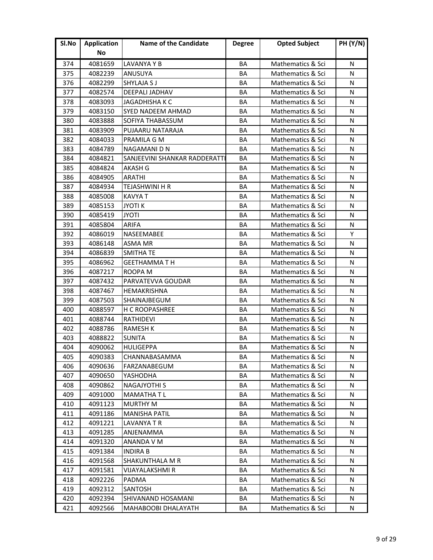| SI.No | <b>Application</b> | <b>Name of the Candidate</b>  | <b>Degree</b> | <b>Opted Subject</b> | <b>PH (Y/N)</b> |
|-------|--------------------|-------------------------------|---------------|----------------------|-----------------|
|       | No                 |                               |               |                      |                 |
| 374   | 4081659            | LAVANYA Y B                   | BA            | Mathematics & Sci    | N               |
| 375   | 4082239            | ANUSUYA                       | BA            | Mathematics & Sci    | N               |
| 376   | 4082299            | <b>SHYLAJA S J</b>            | BA            | Mathematics & Sci    | N               |
| 377   | 4082574            | DEEPALI JADHAV                | <b>BA</b>     | Mathematics & Sci    | N               |
| 378   | 4083093            | <b>JAGADHISHA K C</b>         | BA            | Mathematics & Sci    | N               |
| 379   | 4083150            | <b>SYED NADEEM AHMAD</b>      | BA            | Mathematics & Sci    | N               |
| 380   | 4083888            | SOFIYA THABASSUM              | BA            | Mathematics & Sci    | N               |
| 381   | 4083909            | PUJAARU NATARAJA              | BA            | Mathematics & Sci    | N               |
| 382   | 4084033            | PRAMILA G M                   | BA            | Mathematics & Sci    | N               |
| 383   | 4084789            | NAGAMANI D N                  | BA            | Mathematics & Sci    | N               |
| 384   | 4084821            | SANJEEVINI SHANKAR RADDERATTI | BA            | Mathematics & Sci    | N               |
| 385   | 4084824            | AKASH G                       | BA            | Mathematics & Sci    | N               |
| 386   | 4084905            | <b>ARATHI</b>                 | BA            | Mathematics & Sci    | N               |
| 387   | 4084934            | TEJASHWINI H R                | BA            | Mathematics & Sci    | N               |
| 388   | 4085008            | <b>KAVYAT</b>                 | BA            | Mathematics & Sci    | N               |
| 389   | 4085153            | <b>JYOTIK</b>                 | BA            | Mathematics & Sci    | N               |
| 390   | 4085419            | <b>JYOTI</b>                  | BA            | Mathematics & Sci    | N               |
| 391   | 4085804            | <b>ARIFA</b>                  | BA            | Mathematics & Sci    | N               |
| 392   | 4086019            | NASEEMABEE                    | BA            | Mathematics & Sci    | Υ               |
| 393   | 4086148            | <b>ASMA MR</b>                | BA            | Mathematics & Sci    | N               |
| 394   | 4086839            | <b>SMITHA TE</b>              | <b>BA</b>     | Mathematics & Sci    | N               |
| 395   | 4086962            | <b>GEETHAMMATH</b>            | BA            | Mathematics & Sci    | N               |
| 396   | 4087217            | ROOPA M                       | BA            | Mathematics & Sci    | N               |
| 397   | 4087432            | PARVATEVVA GOUDAR             | BA            | Mathematics & Sci    | N               |
| 398   | 4087467            | HEMAKRISHNA                   | BA            | Mathematics & Sci    | N               |
| 399   | 4087503            | <b>SHAINAJBEGUM</b>           | BA            | Mathematics & Sci    | N               |
| 400   | 4088597            | H C ROOPASHREE                | BA            | Mathematics & Sci    | N               |
| 401   | 4088744            | <b>RATHIDEVI</b>              | BA            | Mathematics & Sci    | N               |
| 402   | 4088786            | <b>RAMESH K</b>               | BA            | Mathematics & Sci    | N               |
| 403   | 4088822            | <b>SUNITA</b>                 | <b>BA</b>     | Mathematics & Sci    | N               |
| 404   | 4090062            | <b>HULIGEPPA</b>              | BA            | Mathematics & Sci    | N               |
| 405   | 4090383            | CHANNABASAMMA                 | ВA            | Mathematics & Sci    | N               |
| 406   | 4090636            | FARZANABEGUM                  | BA            | Mathematics & Sci    | N               |
| 407   | 4090650            | YASHODHA                      | BA            | Mathematics & Sci    | N               |
| 408   | 4090862            | <b>NAGAJYOTHI S</b>           | BA            | Mathematics & Sci    | N               |
| 409   | 4091000            | MAMATHA T L                   | BA            | Mathematics & Sci    | N               |
| 410   | 4091123            | <b>MURTHY M</b>               | BA            | Mathematics & Sci    | N               |
| 411   | 4091186            | <b>MANISHA PATIL</b>          | BA            | Mathematics & Sci    | N               |
| 412   | 4091221            | LAVANYA T R                   | BA            | Mathematics & Sci    | N               |
| 413   | 4091285            | ANJENAMMA                     | BA            | Mathematics & Sci    | N               |
| 414   | 4091320            | ANANDA V M                    | BA            | Mathematics & Sci    | N               |
| 415   | 4091384            | <b>INDIRA B</b>               | BA            | Mathematics & Sci    | N               |
| 416   | 4091568            | SHAKUNTHALA M R               | BA            | Mathematics & Sci    | N               |
| 417   | 4091581            | <b>VIJAYALAKSHMI R</b>        | BA            | Mathematics & Sci    | N               |
| 418   | 4092226            | PADMA                         | ВA            | Mathematics & Sci    | N               |
| 419   | 4092312            | SANTOSH                       | BA            | Mathematics & Sci    | N               |
| 420   | 4092394            | SHIVANAND HOSAMANI            | BA            | Mathematics & Sci    | N               |
| 421   | 4092566            | MAHABOOBI DHALAYATH           | BA            | Mathematics & Sci    | N               |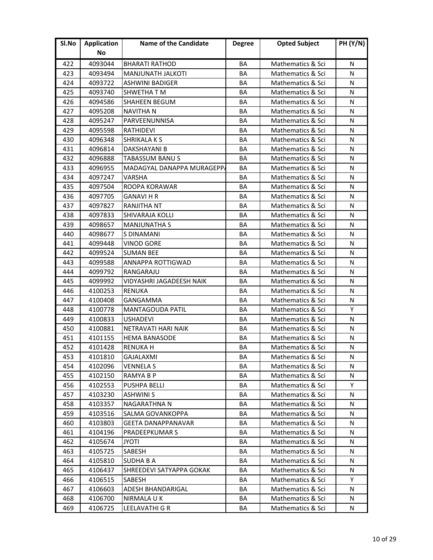| Sl.No | <b>Application</b> | <b>Name of the Candidate</b> | <b>Degree</b> | <b>Opted Subject</b> | <b>PH (Y/N)</b> |
|-------|--------------------|------------------------------|---------------|----------------------|-----------------|
|       | No                 |                              |               |                      |                 |
| 422   | 4093044            | <b>BHARATI RATHOD</b>        | BA            | Mathematics & Sci    | N               |
| 423   | 4093494            | <b>MANJUNATH JALKOTI</b>     | BA            | Mathematics & Sci    | N               |
| 424   | 4093722            | <b>ASHWINI BADIGER</b>       | BA            | Mathematics & Sci    | N               |
| 425   | 4093740            | <b>SHWETHA T M</b>           | BA            | Mathematics & Sci    | N               |
| 426   | 4094586            | SHAHEEN BEGUM                | BA            | Mathematics & Sci    | N               |
| 427   | 4095208            | <b>NAVITHA N</b>             | BA            | Mathematics & Sci    | N               |
| 428   | 4095247            | PARVEENUNNISA                | BA            | Mathematics & Sci    | N               |
| 429   | 4095598            | <b>RATHIDEVI</b>             | BA            | Mathematics & Sci    | N               |
| 430   | 4096348            | <b>SHRIKALAKS</b>            | BA            | Mathematics & Sci    | N               |
| 431   | 4096814            | DAKSHAYANI B                 | BA            | Mathematics & Sci    | N               |
| 432   | 4096888            | <b>TABASSUM BANUS</b>        | BA            | Mathematics & Sci    | N               |
| 433   | 4096955            | MADAGYAL DANAPPA MURAGEPPA   | BA            | Mathematics & Sci    | N               |
| 434   | 4097247            | <b>VARSHA</b>                | BA            | Mathematics & Sci    | N               |
| 435   | 4097504            | ROOPA KORAWAR                | BA            | Mathematics & Sci    | N               |
| 436   | 4097705            | <b>GANAVI H R</b>            | BA            | Mathematics & Sci    | N               |
| 437   | 4097827            | <b>RANJITHA NT</b>           | BA            | Mathematics & Sci    | N               |
| 438   | 4097833            | <b>SHIVARAJA KOLLI</b>       | BA            | Mathematics & Sci    | N               |
| 439   | 4098657            | <b>MANJUNATHA S</b>          | BA            | Mathematics & Sci    | N               |
| 440   | 4098677            | S DINAMANI                   | BA            | Mathematics & Sci    | N               |
| 441   | 4099448            | <b>VINOD GORE</b>            | BA            | Mathematics & Sci    | N               |
| 442   | 4099524            | <b>SUMAN BEE</b>             | <b>BA</b>     | Mathematics & Sci    | N               |
| 443   | 4099588            | ANNAPPA ROTTIGWAD            | BA            | Mathematics & Sci    | N               |
| 444   | 4099792            | RANGARAJU                    | BA            | Mathematics & Sci    | N               |
| 445   | 4099992            | VIDYASHRI JAGADEESH NAIK     | BA            | Mathematics & Sci    | N               |
| 446   | 4100253            | <b>RENUKA</b>                | BA            | Mathematics & Sci    | N               |
| 447   | 4100408            | GANGAMMA                     | BA            | Mathematics & Sci    | N               |
| 448   | 4100778            | <b>MANTAGOUDA PATIL</b>      | BA            | Mathematics & Sci    | Y               |
| 449   | 4100833            | <b>USHADEVI</b>              | BA            | Mathematics & Sci    | N               |
| 450   | 4100881            | NETRAVATI HARI NAIK          | BA            | Mathematics & Sci    | N               |
| 451   | 4101155            | <b>HEMA BANASODE</b>         | <b>BA</b>     | Mathematics & Sci    | N               |
| 452   | 4101428            | <b>RENUKA H</b>              | BA            | Mathematics & Sci    | N               |
| 453   | 4101810            | GAJALAXMI                    | ВA            | Mathematics & Sci    | N               |
| 454   | 4102096            | VENNELA S                    | BA            | Mathematics & Sci    | N               |
| 455   | 4102150            | RAMYA B P                    | BA            | Mathematics & Sci    | N               |
| 456   | 4102553            | <b>PUSHPA BELLI</b>          | BA            | Mathematics & Sci    | Y               |
| 457   | 4103230            | <b>ASHWINI S</b>             | BА            | Mathematics & Sci    | N               |
| 458   | 4103357            | <b>NAGARATHNA N</b>          | BA            | Mathematics & Sci    | N               |
| 459   | 4103516            | SALMA GOVANKOPPA             | BA            | Mathematics & Sci    | N               |
| 460   | 4103803            | <b>GEETA DANAPPANAVAR</b>    | BA            | Mathematics & Sci    | N               |
| 461   | 4104196            | <b>PRADEEPKUMAR S</b>        | BA            | Mathematics & Sci    | N               |
| 462   | 4105674            | <b>JYOTI</b>                 | BA            | Mathematics & Sci    | N               |
| 463   | 4105725            | SABESH                       | BA            | Mathematics & Sci    | N               |
| 464   | 4105810            | <b>SUDHA B A</b>             | BA            | Mathematics & Sci    | N               |
| 465   | 4106437            | SHREEDEVI SATYAPPA GOKAK     | BA            | Mathematics & Sci    | N               |
| 466   | 4106515            | SABESH                       | ВA            | Mathematics & Sci    | Υ               |
| 467   | 4106603            | ADESH BHANDARIGAL            | BA            | Mathematics & Sci    | N               |
| 468   | 4106700            | NIRMALA U K                  | BA            | Mathematics & Sci    | N               |
| 469   | 4106725            | LEELAVATHI G R               | ВA            | Mathematics & Sci    | N               |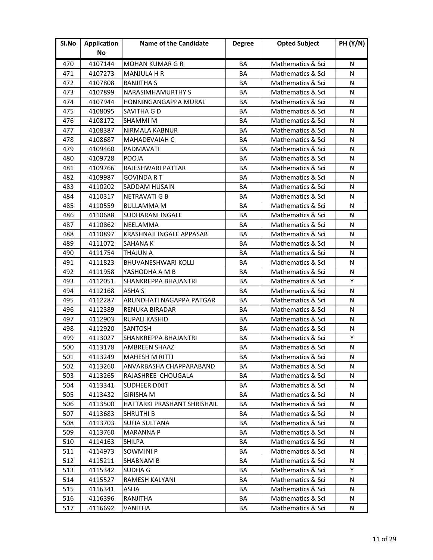| Sl.No | <b>Application</b> | <b>Name of the Candidate</b>    | <b>Degree</b> | <b>Opted Subject</b> | <b>PH (Y/N)</b> |
|-------|--------------------|---------------------------------|---------------|----------------------|-----------------|
|       | No                 |                                 |               |                      |                 |
| 470   | 4107144            | <b>MOHAN KUMAR G R</b>          | BA            | Mathematics & Sci    | N               |
| 471   | 4107273            | <b>MANJULA H R</b>              | BA            | Mathematics & Sci    | N               |
| 472   | 4107808            | <b>RANJITHA S</b>               | BA            | Mathematics & Sci    | N               |
| 473   | 4107899            | <b>NARASIMHAMURTHY S</b>        | BA            | Mathematics & Sci    | N               |
| 474   | 4107944            | HONNINGANGAPPA MURAL            | BA            | Mathematics & Sci    | N               |
| 475   | 4108095            | SAVITHA G D                     | BA            | Mathematics & Sci    | N               |
| 476   | 4108172            | <b>SHAMMIM</b>                  | BA            | Mathematics & Sci    | N               |
| 477   | 4108387            | <b>NIRMALA KABNUR</b>           | BA            | Mathematics & Sci    | N               |
| 478   | 4108687            | MAHADEVAIAH C                   | BA            | Mathematics & Sci    | N               |
| 479   | 4109460            | PADMAVATI                       | BA            | Mathematics & Sci    | N               |
| 480   | 4109728            | <b>POOJA</b>                    | BA            | Mathematics & Sci    | N               |
| 481   | 4109766            | RAJESHWARI PATTAR               | BA            | Mathematics & Sci    | N               |
| 482   | 4109987            | GOVINDA R T                     | BA            | Mathematics & Sci    | N               |
| 483   | 4110202            | SADDAM HUSAIN                   | BA            | Mathematics & Sci    | N               |
| 484   | 4110317            | <b>NETRAVATI G B</b>            | BA            | Mathematics & Sci    | N               |
| 485   | 4110559            | <b>BULLAMMA M</b>               | BA            | Mathematics & Sci    | N               |
| 486   | 4110688            | <b>SUDHARANI INGALE</b>         | BA            | Mathematics & Sci    | N               |
| 487   | 4110862            | NEELAMMA                        | BA            | Mathematics & Sci    | N               |
| 488   | 4110897            | <b>KRASHNAJI INGALE APPASAB</b> | BA            | Mathematics & Sci    | N               |
| 489   | 4111072            | <b>SAHANA K</b>                 | BA            | Mathematics & Sci    | N               |
| 490   | 4111754            | THAJUN A                        | <b>BA</b>     | Mathematics & Sci    | N               |
| 491   | 4111823            | <b>BHUVANESHWARI KOLLI</b>      | BA            | Mathematics & Sci    | N               |
| 492   | 4111958            | YASHODHA A M B                  | ΒA            | Mathematics & Sci    | N               |
| 493   | 4112051            | <b>SHANKREPPA BHAJANTRI</b>     | BA            | Mathematics & Sci    | Y               |
| 494   | 4112168            | ASHA S                          | BA            | Mathematics & Sci    | N               |
| 495   | 4112287            | ARUNDHATI NAGAPPA PATGAR        | BA            | Mathematics & Sci    | N               |
| 496   | 4112389            | <b>RENUKA BIRADAR</b>           | BA            | Mathematics & Sci    | N               |
| 497   | 4112903            | RUPALI KASHID                   | BA            | Mathematics & Sci    | N               |
| 498   | 4112920            | <b>SANTOSH</b>                  | BA            | Mathematics & Sci    | N               |
| 499   | 4113027            | <b>SHANKREPPA BHAJANTRI</b>     | <b>BA</b>     | Mathematics & Sci    | Y               |
| 500   | 4113178            | <b>AMBREEN SHAAZ</b>            | BA            | Mathematics & Sci    | N               |
| 501   | 4113249            | <b>MAHESH M RITTI</b>           | BA            | Mathematics & Sci    | N               |
| 502   | 4113260            | ANVARBASHA CHAPPARABAND         | BA            | Mathematics & Sci    | N               |
| 503   | 4113265            | RAJASHREE CHOUGALA              | BA            | Mathematics & Sci    | N               |
| 504   | 4113341            | <b>SUDHEER DIXIT</b>            | BA            | Mathematics & Sci    | N               |
| 505   | 4113432            | GIRISHA M                       | ВA            | Mathematics & Sci    | N               |
| 506   | 4113500            | HATTARKI PRASHANT SHRISHAIL     | BA            | Mathematics & Sci    | N               |
| 507   | 4113683            | <b>SHRUTHI B</b>                | BA            | Mathematics & Sci    | N               |
| 508   | 4113703            | <b>SUFIA SULTANA</b>            | BA            | Mathematics & Sci    | N               |
| 509   | 4113760            | <b>MARANNA P</b>                | BA            | Mathematics & Sci    | N               |
| 510   | 4114163            | <b>SHILPA</b>                   | BA            | Mathematics & Sci    | N               |
| 511   | 4114973            | <b>SOWMINI P</b>                | BA            | Mathematics & Sci    | N               |
| 512   | 4115211            | <b>SHABNAM B</b>                | BA            | Mathematics & Sci    | N               |
| 513   | 4115342            | <b>SUDHA G</b>                  | BA            | Mathematics & Sci    | Y               |
| 514   | 4115527            | RAMESH KALYANI                  | ВA            | Mathematics & Sci    | N               |
| 515   | 4116341            | ASHA                            | ВA            | Mathematics & Sci    | N               |
| 516   | 4116396            | RANJITHA                        | BA            | Mathematics & Sci    | N               |
| 517   | 4116692            | VANITHA                         | BA            | Mathematics & Sci    | N               |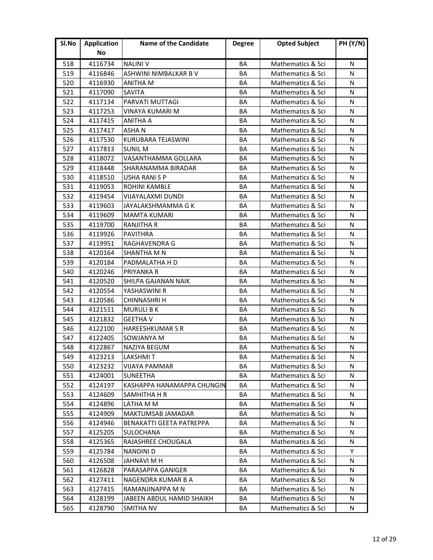| Sl.No | <b>Application</b> | <b>Name of the Candidate</b>    | <b>Degree</b> | <b>Opted Subject</b> | <b>PH (Y/N)</b> |
|-------|--------------------|---------------------------------|---------------|----------------------|-----------------|
|       | No                 |                                 |               |                      |                 |
| 518   | 4116734            | <b>NALINI V</b>                 | BA            | Mathematics & Sci    | N               |
| 519   | 4116846            | ASHWINI NIMBALKAR B V           | BA            | Mathematics & Sci    | N               |
| 520   | 4116930            | <b>ANITHA M</b>                 | BA            | Mathematics & Sci    | N               |
| 521   | 4117090            | SAVITA                          | BA            | Mathematics & Sci    | N               |
| 522   | 4117134            | PARVATI MUTTAGI                 | BA            | Mathematics & Sci    | N               |
| 523   | 4117253            | <b>VINAYA KUMARI M</b>          | BA            | Mathematics & Sci    | N               |
| 524   | 4117415            | <b>ANITHA A</b>                 | BA            | Mathematics & Sci    | N               |
| 525   | 4117417            | <b>ASHAN</b>                    | BA            | Mathematics & Sci    | N               |
| 526   | 4117530            | KURUBARA TEJASWINI              | BA            | Mathematics & Sci    | N               |
| 527   | 4117813            | <b>SUNIL M</b>                  | BA            | Mathematics & Sci    | N               |
| 528   | 4118072            | VASANTHAMMA GOLLARA             | BA            | Mathematics & Sci    | N               |
| 529   | 4118448            | SHARANAMMA BIRADAR              | BA            | Mathematics & Sci    | N               |
| 530   | 4118510            | USHA RANI S P                   | BA            | Mathematics & Sci    | N               |
| 531   | 4119053            | ROHINI KAMBLE                   | BA            | Mathematics & Sci    | N               |
| 532   | 4119454            | <b>VIJAYALAXMI DUNDI</b>        | BA            | Mathematics & Sci    | N               |
| 533   | 4119603            | JAYALAKSHMAMMA G K              | BA            | Mathematics & Sci    | N               |
| 534   | 4119609            | <b>MAMTA KUMARI</b>             | BA            | Mathematics & Sci    | N               |
| 535   | 4119700            | <b>RANJITHA R</b>               | BA            | Mathematics & Sci    | N               |
| 536   | 4119926            | <b>PAVITHRA</b>                 | BA            | Mathematics & Sci    | N               |
| 537   | 4119951            | <b>RAGHAVENDRA G</b>            | BA            | Mathematics & Sci    | N               |
| 538   | 4120164            | SHANTHA M N                     | <b>BA</b>     | Mathematics & Sci    | N               |
| 539   | 4120184            | PADMALATHA H D                  | BA            | Mathematics & Sci    | N               |
| 540   | 4120246            | PRIYANKA R                      | ΒA            | Mathematics & Sci    | N               |
| 541   | 4120520            | SHILPA GAJANAN NAIK             | BA            | Mathematics & Sci    | N               |
| 542   | 4120554            | YASHASWINI R                    | BA            | Mathematics & Sci    | N               |
| 543   | 4120586            | <b>CHINNASHRI H</b>             | BA            | Mathematics & Sci    | N               |
| 544   | 4121511            | <b>MURULI B K</b>               | BA            | Mathematics & Sci    | N               |
| 545   | 4121832            | <b>GEETHA V</b>                 | BA            | Mathematics & Sci    | N               |
| 546   | 4122100            | <b>HAREESHKUMAR S R</b>         | BA            | Mathematics & Sci    | N               |
| 547   | 4122405            | SOWJANYA M                      | <b>BA</b>     | Mathematics & Sci    | N               |
| 548   | 4122867            | <b>NAZIYA BEGUM</b>             | BA            | Mathematics & Sci    | N               |
| 549   | 4123213            | LAKSHMI T                       | ВA            | Mathematics & Sci    | N               |
| 550   | 4123232            | <b>VIJAYA PAMMAR</b>            | BA            | Mathematics & Sci    | N               |
| 551   | 4124001            | <b>SUNEETHA</b>                 | BA            | Mathematics & Sci    | N               |
| 552   | 4124197            | KASHAPPA HANAMAPPA CHUNGIN      | BA            | Mathematics & Sci    | N               |
| 553   | 4124609            | SAMHITHA H R                    | ВA            | Mathematics & Sci    | N               |
| 554   | 4124896            | LATHA M M                       | BA            | Mathematics & Sci    | N               |
| 555   | 4124909            | <b>MAKTUMSAB JAMADAR</b>        | BA            | Mathematics & Sci    | N               |
| 556   | 4124946            | <b>BENAKATTI GEETA PATREPPA</b> | BA            | Mathematics & Sci    | N               |
| 557   | 4125205            | SULOCHANA                       | BA            | Mathematics & Sci    | N               |
| 558   | 4125365            | RAJASHREE CHOUGALA              | BA            | Mathematics & Sci    | N               |
| 559   | 4125784            | <b>NANDINI D</b>                | BA            | Mathematics & Sci    | Y               |
| 560   | 4126508            | JAHNAVI M H                     | BA            | Mathematics & Sci    | N               |
| 561   | 4126828            | PARASAPPA GANIGER               | BA            | Mathematics & Sci    | N               |
| 562   | 4127411            | NAGENDRA KUMAR B A              | ВA            | Mathematics & Sci    | N               |
| 563   | 4127415            | RAMANJINAPPA M N                | BA            | Mathematics & Sci    | N               |
| 564   | 4128199            | JABEEN ABDUL HAMID SHAIKH       | BA            | Mathematics & Sci    | N               |
| 565   | 4128790            | SMITHA NV                       | BA            | Mathematics & Sci    | N               |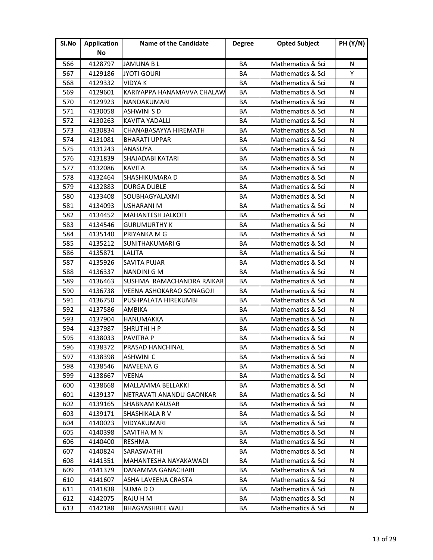| Sl.No | <b>Application</b> | <b>Name of the Candidate</b> | <b>Degree</b> | <b>Opted Subject</b> | <b>PH (Y/N)</b> |
|-------|--------------------|------------------------------|---------------|----------------------|-----------------|
|       | No                 |                              |               |                      |                 |
| 566   | 4128797            | <b>JAMUNA BL</b>             | BA            | Mathematics & Sci    | N               |
| 567   | 4129186            | <b>JYOTI GOURI</b>           | BA            | Mathematics & Sci    | Y               |
| 568   | 4129332            | <b>VIDYA K</b>               | BA            | Mathematics & Sci    | N               |
| 569   | 4129601            | KARIYAPPA HANAMAVVA CHALAW   | BA            | Mathematics & Sci    | N               |
| 570   | 4129923            | NANDAKUMARI                  | BA            | Mathematics & Sci    | N               |
| 571   | 4130058            | <b>ASHWINI S D</b>           | BA            | Mathematics & Sci    | N               |
| 572   | 4130263            | <b>KAVITA YADALLI</b>        | BA            | Mathematics & Sci    | N               |
| 573   | 4130834            | CHANABASAYYA HIREMATH        | BA            | Mathematics & Sci    | N               |
| 574   | 4131081            | <b>BHARATI UPPAR</b>         | BA            | Mathematics & Sci    | N               |
| 575   | 4131243            | ANASUYA                      | BA            | Mathematics & Sci    | N               |
| 576   | 4131839            | <b>SHAJADABI KATARI</b>      | BA            | Mathematics & Sci    | N               |
| 577   | 4132086            | <b>KAVITA</b>                | BA            | Mathematics & Sci    | N               |
| 578   | 4132464            | <b>SHASHIKUMARA D</b>        | BA            | Mathematics & Sci    | N               |
| 579   | 4132883            | DURGA DUBLE                  | BA            | Mathematics & Sci    | N               |
| 580   | 4133408            | SOUBHAGYALAXMI               | BA            | Mathematics & Sci    | N               |
| 581   | 4134093            | <b>USHARANI M</b>            | BA            | Mathematics & Sci    | N               |
| 582   | 4134452            | <b>MAHANTESH JALKOTI</b>     | BA            | Mathematics & Sci    | N               |
| 583   | 4134546            | <b>GURUMURTHY K</b>          | BA            | Mathematics & Sci    | N               |
| 584   | 4135140            | PRIYANKA M G                 | BA            | Mathematics & Sci    | N               |
| 585   | 4135212            | <b>SUNITHAKUMARI G</b>       | BA            | Mathematics & Sci    | N               |
| 586   | 4135871            | <b>LALITA</b>                | <b>BA</b>     | Mathematics & Sci    | N               |
| 587   | 4135926            | <b>SAVITA PUJAR</b>          | BA            | Mathematics & Sci    | N               |
| 588   | 4136337            | NANDINI G M                  | BA            | Mathematics & Sci    | N               |
| 589   | 4136463            | SUSHMA RAMACHANDRA RAIKAR    | BA            | Mathematics & Sci    | N               |
| 590   | 4136738            | VEENA ASHOKARAO SONAGOJI     | BA            | Mathematics & Sci    | N               |
| 591   | 4136750            | PUSHPALATA HIREKUMBI         | BA            | Mathematics & Sci    | N               |
| 592   | 4137586            | AMBIKA                       | BA            | Mathematics & Sci    | N               |
| 593   | 4137904            | <b>HANUMAKKA</b>             | BA            | Mathematics & Sci    | N               |
| 594   | 4137987            | <b>SHRUTHI H P</b>           | BA            | Mathematics & Sci    | N               |
| 595   | 4138033            | <b>PAVITRA P</b>             | <b>BA</b>     | Mathematics & Sci    | N               |
| 596   | 4138372            | PRASAD HANCHINAL             | BA            | Mathematics & Sci    | N               |
| 597   | 4138398            | ASHWINI C                    | ВA            | Mathematics & Sci    | N               |
| 598   | 4138546            | <b>NAVEENA G</b>             | BA            | Mathematics & Sci    | N               |
| 599   | 4138667            | <b>VEENA</b>                 | BA            | Mathematics & Sci    | N               |
| 600   | 4138668            | MALLAMMA BELLAKKI            | BA            | Mathematics & Sci    | N               |
| 601   | 4139137            | NETRAVATI ANANDU GAONKAR     | BА            | Mathematics & Sci    | N               |
| 602   | 4139165            | <b>SHABNAM KAUSAR</b>        | BA            | Mathematics & Sci    | N               |
| 603   | 4139171            | SHASHIKALA RV                | BA            | Mathematics & Sci    | N               |
| 604   | 4140023            | VIDYAKUMARI                  | BA            | Mathematics & Sci    | N               |
| 605   | 4140398            | SAVITHA M N                  | BA            | Mathematics & Sci    | N               |
| 606   | 4140400            | RESHMA                       | BA            | Mathematics & Sci    | N               |
| 607   | 4140824            | <b>SARASWATHI</b>            | BA            | Mathematics & Sci    | N               |
| 608   | 4141351            | MAHANTESHA NAYAKAWADI        | BA            | Mathematics & Sci    | N               |
| 609   | 4141379            | DANAMMA GANACHARI            | BA            | Mathematics & Sci    | N               |
| 610   | 4141607            | ASHA LAVEENA CRASTA          | ВA            | Mathematics & Sci    | N               |
| 611   | 4141838            | SUMA DO                      | ВA            | Mathematics & Sci    | N               |
| 612   | 4142075            | RAJU H M                     | BA            | Mathematics & Sci    | N               |
| 613   | 4142188            | <b>BHAGYASHREE WALI</b>      | BA            | Mathematics & Sci    | N               |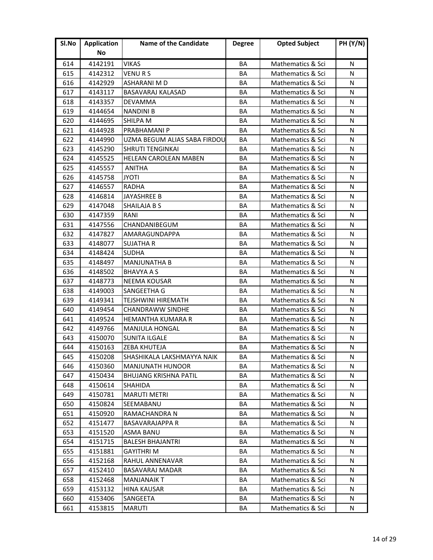| Sl.No | <b>Application</b> | <b>Name of the Candidate</b> | <b>Degree</b> | <b>Opted Subject</b> | <b>PH (Y/N)</b> |
|-------|--------------------|------------------------------|---------------|----------------------|-----------------|
|       | No                 |                              |               |                      |                 |
| 614   | 4142191            | VIKAS                        | BA            | Mathematics & Sci    | N               |
| 615   | 4142312            | <b>VENURS</b>                | BA            | Mathematics & Sci    | N               |
| 616   | 4142929            | ASHARANI M D                 | BA            | Mathematics & Sci    | N               |
| 617   | 4143117            | <b>BASAVARAJ KALASAD</b>     | BA            | Mathematics & Sci    | N               |
| 618   | 4143357            | DEVAMMA                      | BA            | Mathematics & Sci    | N               |
| 619   | 4144654            | <b>NANDINI B</b>             | BA            | Mathematics & Sci    | N               |
| 620   | 4144695            | <b>SHILPA M</b>              | BA            | Mathematics & Sci    | N               |
| 621   | 4144928            | PRABHAMANI P                 | BA            | Mathematics & Sci    | N               |
| 622   | 4144990            | UZMA BEGUM ALIAS SABA FIRDOU | BA            | Mathematics & Sci    | N               |
| 623   | 4145290            | <b>SHRUTI TENGINKAI</b>      | BA            | Mathematics & Sci    | N               |
| 624   | 4145525            | <b>HELEAN CAROLEAN MABEN</b> | BA            | Mathematics & Sci    | N               |
| 625   | 4145557            | <b>ANITHA</b>                | BA            | Mathematics & Sci    | N               |
| 626   | 4145758            | <b>JYOTI</b>                 | BA            | Mathematics & Sci    | N               |
| 627   | 4146557            | RADHA                        | BA            | Mathematics & Sci    | N               |
| 628   | 4146814            | JAYASHREE B                  | BA            | Mathematics & Sci    | N               |
| 629   | 4147048            | <b>SHAILAJA B S</b>          | BA            | Mathematics & Sci    | N               |
| 630   | 4147359            | RANI                         | BA            | Mathematics & Sci    | N               |
| 631   | 4147556            | CHANDANIBEGUM                | BA            | Mathematics & Sci    | N               |
| 632   | 4147827            | AMARAGUNDAPPA                | BA            | Mathematics & Sci    | N               |
| 633   | 4148077            | <b>SUJATHA R</b>             | BA            | Mathematics & Sci    | N               |
| 634   | 4148424            | <b>SUDHA</b>                 | <b>BA</b>     | Mathematics & Sci    | N               |
| 635   | 4148497            | <b>MANJUNATHA B</b>          | BA            | Mathematics & Sci    | N               |
| 636   | 4148502            | <b>BHAVYA A S</b>            | ΒA            | Mathematics & Sci    | N               |
| 637   | 4148773            | <b>NEEMA KOUSAR</b>          | BA            | Mathematics & Sci    | N               |
| 638   | 4149003            | SANGEETHA G                  | BA            | Mathematics & Sci    | N               |
| 639   | 4149341            | <b>TEJSHWINI HIREMATH</b>    | ΒA            | Mathematics & Sci    | N               |
| 640   | 4149454            | <b>CHANDRAWW SINDHE</b>      | BA            | Mathematics & Sci    | N               |
| 641   | 4149524            | <b>HEMANTHA KUMARA R</b>     | BA            | Mathematics & Sci    | N               |
| 642   | 4149766            | <b>MANJULA HONGAL</b>        | BA            | Mathematics & Sci    | N               |
| 643   | 4150070            | <b>SUNITA ILGALE</b>         | <b>BA</b>     | Mathematics & Sci    | N               |
| 644   | 4150163            | ZEBA KHUTEJA                 | BA            | Mathematics & Sci    | N               |
| 645   | 4150208            | SHASHIKALA LAKSHMAYYA NAIK   | ВA            | Mathematics & Sci    | N               |
| 646   | 4150360            | <b>MANJUNATH HUNOOR</b>      | BA            | Mathematics & Sci    | N               |
| 647   | 4150434            | <b>BHUJANG KRISHNA PATIL</b> | BA            | Mathematics & Sci    | N               |
| 648   | 4150614            | <b>SHAHIDA</b>               | BA            | Mathematics & Sci    | N               |
| 649   | 4150781            | <b>MARUTI METRI</b>          | BА            | Mathematics & Sci    | N               |
| 650   | 4150824            | SEEMABANU                    | BA            | Mathematics & Sci    | N               |
| 651   | 4150920            | RAMACHANDRA N                | BA            | Mathematics & Sci    | N               |
| 652   | 4151477            | <b>BASAVARAJAPPA R</b>       | BA            | Mathematics & Sci    | N               |
| 653   | 4151520            | <b>ASMA BANU</b>             | BA            | Mathematics & Sci    | N               |
| 654   | 4151715            | <b>BALESH BHAJANTRI</b>      | BA            | Mathematics & Sci    | N               |
| 655   | 4151881            | <b>GAYITHRI M</b>            | BA            | Mathematics & Sci    | N               |
| 656   | 4152168            | RAHUL ANNENAVAR              | BA            | Mathematics & Sci    | N               |
| 657   | 4152410            | <b>BASAVARAJ MADAR</b>       | BA            | Mathematics & Sci    | N               |
| 658   | 4152468            | MANJANAIK T                  | ВA            | Mathematics & Sci    | N               |
| 659   | 4153132            | <b>HINA KAUSAR</b>           | ВA            | Mathematics & Sci    | N               |
| 660   | 4153406            | SANGEETA                     | ВA            | Mathematics & Sci    | N               |
| 661   | 4153815            | <b>MARUTI</b>                | BA            | Mathematics & Sci    | N               |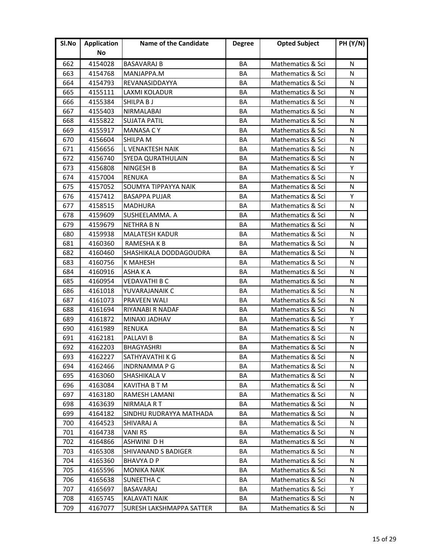| Sl.No | <b>Application</b> | <b>Name of the Candidate</b> | <b>Degree</b> | <b>Opted Subject</b> | <b>PH (Y/N)</b> |
|-------|--------------------|------------------------------|---------------|----------------------|-----------------|
|       | No                 |                              |               |                      |                 |
| 662   | 4154028            | <b>BASAVARAJ B</b>           | BA            | Mathematics & Sci    | N               |
| 663   | 4154768            | MANJAPPA.M                   | ΒA            | Mathematics & Sci    | N               |
| 664   | 4154793            | REVANASIDDAYYA               | ΒA            | Mathematics & Sci    | N               |
| 665   | 4155111            | LAXMI KOLADUR                | BA            | Mathematics & Sci    | N               |
| 666   | 4155384            | SHILPA B J                   | BA            | Mathematics & Sci    | N               |
| 667   | 4155403            | <b>NIRMALABAI</b>            | BA            | Mathematics & Sci    | N               |
| 668   | 4155822            | <b>SUJATA PATIL</b>          | BA            | Mathematics & Sci    | N               |
| 669   | 4155917            | <b>MANASA CY</b>             | BA            | Mathematics & Sci    | N               |
| 670   | 4156604            | <b>SHILPA M</b>              | BA            | Mathematics & Sci    | N               |
| 671   | 4156656            | L VENAKTESH NAIK             | BA            | Mathematics & Sci    | N               |
| 672   | 4156740            | SYEDA QURATHULAIN            | BA            | Mathematics & Sci    | N               |
| 673   | 4156808            | <b>NINGESH B</b>             | BA            | Mathematics & Sci    | Υ               |
| 674   | 4157004            | <b>RENUKA</b>                | BA            | Mathematics & Sci    | N               |
| 675   | 4157052            | SOUMYA TIPPAYYA NAIK         | BA            | Mathematics & Sci    | N               |
| 676   | 4157412            | <b>BASAPPA PUJAR</b>         | BA            | Mathematics & Sci    | Y               |
| 677   | 4158515            | <b>MADHURA</b>               | BA            | Mathematics & Sci    | N               |
| 678   | 4159609            | SUSHEELAMMA. A               | BA            | Mathematics & Sci    | N               |
| 679   | 4159679            | <b>NETHRA B N</b>            | BA            | Mathematics & Sci    | N               |
| 680   | 4159938            | <b>MALATESH KADUR</b>        | BA            | Mathematics & Sci    | N               |
| 681   | 4160360            | RAMESHA K B                  | BA            | Mathematics & Sci    | N               |
| 682   | 4160460            | SHASHIKALA DODDAGOUDRA       | <b>BA</b>     | Mathematics & Sci    | N               |
| 683   | 4160756            | <b>K MAHESH</b>              | BA            | Mathematics & Sci    | N               |
| 684   | 4160916            | ASHA K A                     | ΒA            | Mathematics & Sci    | N               |
| 685   | 4160954            | <b>VEDAVATHI B C</b>         | BA            | Mathematics & Sci    | N               |
| 686   | 4161018            | YUVARAJANAIK C               | BA            | Mathematics & Sci    | N               |
| 687   | 4161073            | <b>PRAVEEN WALI</b>          | ΒA            | Mathematics & Sci    | N               |
| 688   | 4161694            | RIYANABI R NADAF             | BA            | Mathematics & Sci    | N               |
| 689   | 4161872            | MINAXI JADHAV                | BA            | Mathematics & Sci    | Y               |
| 690   | 4161989            | <b>RENUKA</b>                | BA            | Mathematics & Sci    | N               |
| 691   | 4162181            | <b>PALLAVI B</b>             | <b>BA</b>     | Mathematics & Sci    | N               |
| 692   | 4162203            | <b>BHAGYASHRI</b>            | BA            | Mathematics & Sci    | N               |
| 693   | 4162227            | SATHYAVATHI K G              | ВA            | Mathematics & Sci    | N               |
| 694   | 4162466            | <b>INDRNAMMAPG</b>           | BA            | Mathematics & Sci    | N               |
| 695   | 4163060            | <b>SHASHIKALA V</b>          | BA            | Mathematics & Sci    | N               |
| 696   | 4163084            | <b>KAVITHA B T M</b>         | BA            | Mathematics & Sci    | N               |
| 697   | 4163180            | RAMESH LAMANI                | BА            | Mathematics & Sci    | N               |
| 698   | 4163639            | <b>NIRMALA RT</b>            | BA            | Mathematics & Sci    | N               |
| 699   | 4164182            | SINDHU RUDRAYYA MATHADA      | BA            | Mathematics & Sci    | N               |
| 700   | 4164523            | SHIVARAJ A                   | BA            | Mathematics & Sci    | N               |
| 701   | 4164738            | <b>VANI RS</b>               | BA            | Mathematics & Sci    | N               |
| 702   | 4164866            | ASHWINI D H                  | BA            | Mathematics & Sci    | N               |
| 703   | 4165308            | <b>SHIVANAND S BADIGER</b>   | BA            | Mathematics & Sci    | N               |
| 704   | 4165360            | <b>BHAVYA D P</b>            | BA            | Mathematics & Sci    | N               |
| 705   | 4165596            | <b>MONIKA NAIK</b>           | BA            | Mathematics & Sci    | N               |
| 706   | 4165638            | SUNEETHA C                   | BА            | Mathematics & Sci    | N               |
| 707   | 4165697            | <b>BASAVARAJ</b>             | ВA            | Mathematics & Sci    | Y               |
| 708   | 4165745            | <b>KALAVATI NAIK</b>         | ВA            | Mathematics & Sci    | N               |
| 709   | 4167077            | SURESH LAKSHMAPPA SATTER     | BA            | Mathematics & Sci    | N               |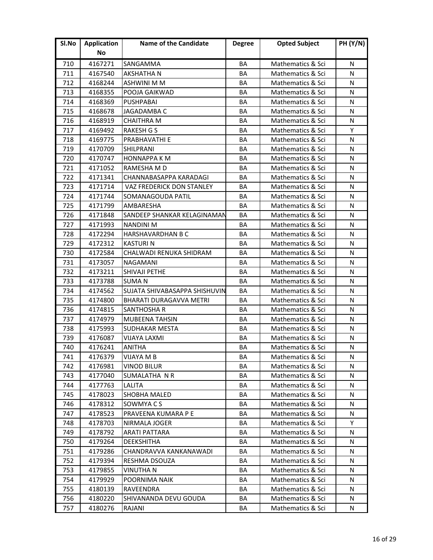| Sl.No | <b>Application</b> | Name of the Candidate            | <b>Degree</b> | <b>Opted Subject</b> | <b>PH (Y/N)</b> |
|-------|--------------------|----------------------------------|---------------|----------------------|-----------------|
|       | No                 |                                  |               |                      |                 |
| 710   | 4167271            | SANGAMMA                         | BA            | Mathematics & Sci    | N               |
| 711   | 4167540            | AKSHATHA N                       | ΒA            | Mathematics & Sci    | N               |
| 712   | 4168244            | <b>ASHWINI M M</b>               | ΒA            | Mathematics & Sci    | N               |
| 713   | 4168355            | POOJA GAIKWAD                    | <b>BA</b>     | Mathematics & Sci    | N               |
| 714   | 4168369            | <b>PUSHPABAI</b>                 | BA            | Mathematics & Sci    | N               |
| 715   | 4168678            | JAGADAMBA C                      | BA            | Mathematics & Sci    | N               |
| 716   | 4168919            | <b>CHAITHRA M</b>                | BA            | Mathematics & Sci    | N               |
| 717   | 4169492            | <b>RAKESH G S</b>                | BA            | Mathematics & Sci    | Y               |
| 718   | 4169775            | PRABHAVATHI E                    | BA            | Mathematics & Sci    | N               |
| 719   | 4170709            | SHILPRANI                        | BA            | Mathematics & Sci    | N               |
| 720   | 4170747            | <b>HONNAPPA K M</b>              | BA            | Mathematics & Sci    | N               |
| 721   | 4171052            | RAMESHA M D                      | BA            | Mathematics & Sci    | N               |
| 722   | 4171341            | CHANNABASAPPA KARADAGI           | BA            | Mathematics & Sci    | N               |
| 723   | 4171714            | <b>VAZ FREDERICK DON STANLEY</b> | ΒA            | Mathematics & Sci    | N               |
| 724   | 4171744            | SOMANAGOUDA PATIL                | BA            | Mathematics & Sci    | N               |
| 725   | 4171799            | AMBARESHA                        | BA            | Mathematics & Sci    | N               |
| 726   | 4171848            | SANDEEP SHANKAR KELAGINAMAN      | BA            | Mathematics & Sci    | N               |
| 727   | 4171993            | <b>NANDINI M</b>                 | BA            | Mathematics & Sci    | N               |
| 728   | 4172294            | <b>HARSHAVARDHAN B C</b>         | BA            | Mathematics & Sci    | N               |
| 729   | 4172312            | <b>KASTURIN</b>                  | BA            | Mathematics & Sci    | N               |
| 730   | 4172584            | CHALWADI RENUKA SHIDRAM          | <b>BA</b>     | Mathematics & Sci    | N               |
| 731   | 4173057            | NAGAMANI                         | BA            | Mathematics & Sci    | N               |
| 732   | 4173211            | SHIVAJI PETHE                    | BA            | Mathematics & Sci    | N               |
| 733   | 4173788            | <b>SUMAN</b>                     | BA            | Mathematics & Sci    | N               |
| 734   | 4174562            | SUJATA SHIVABASAPPA SHISHUVIN    | BA            | Mathematics & Sci    | N               |
| 735   | 4174800            | <b>BHARATI DURAGAVVA METRI</b>   | ΒA            | Mathematics & Sci    | N               |
| 736   | 4174815            | SANTHOSHA R                      | BA            | Mathematics & Sci    | N               |
| 737   | 4174979            | MUBEENA TAHSIN                   | BA            | Mathematics & Sci    | N               |
| 738   | 4175993            | <b>SUDHAKAR MESTA</b>            | BA            | Mathematics & Sci    | N               |
| 739   | 4176087            | <b>VIJAYA LAXMI</b>              | <b>BA</b>     | Mathematics & Sci    | N               |
| 740   | 4176241            | ANITHA                           | BA            | Mathematics & Sci    | N               |
| 741   | 4176379            | VIJAYA M B                       | ВA            | Mathematics & Sci    | N               |
| 742   | 4176981            | <b>VINOD BILUR</b>               | BA            | Mathematics & Sci    | N               |
| 743   | 4177040            | SUMALATHA N R                    | BA            | Mathematics & Sci    | N               |
| 744   | 4177763            | LALITA                           | BA            | Mathematics & Sci    | N               |
| 745   | 4178023            | SHOBHA MALED                     | BА            | Mathematics & Sci    | N               |
| 746   | 4178312            | SOWMYA C S                       | BA            | Mathematics & Sci    | N               |
| 747   | 4178523            | PRAVEENA KUMARA P E              | BA            | Mathematics & Sci    | N               |
| 748   | 4178703            | <b>NIRMALA JOGER</b>             | BA            | Mathematics & Sci    | Y               |
| 749   | 4178792            | <b>ARATI PATTARA</b>             | BA            | Mathematics & Sci    | N               |
| 750   | 4179264            | <b>DEEKSHITHA</b>                | BA            | Mathematics & Sci    | N               |
| 751   | 4179286            | CHANDRAVVA KANKANAWADI           | BA            | Mathematics & Sci    | N               |
| 752   | 4179394            | RESHMA DSOUZA                    | BA            | Mathematics & Sci    | N               |
| 753   | 4179855            | VINUTHA N                        | BA            | Mathematics & Sci    | N               |
| 754   | 4179929            | POORNIMA NAIK                    | BА            | Mathematics & Sci    | N               |
| 755   | 4180139            | RAVEENDRA                        | BA            | Mathematics & Sci    | N               |
| 756   | 4180220            | SHIVANANDA DEVU GOUDA            | BA            | Mathematics & Sci    | N               |
| 757   | 4180276            | RAJANI                           | BA            | Mathematics & Sci    | N               |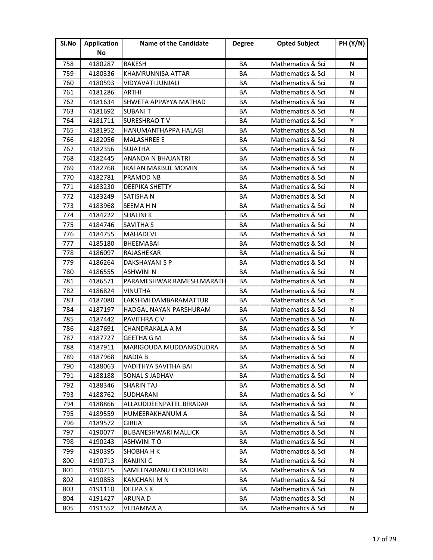| Sl.No | <b>Application</b> | <b>Name of the Candidate</b> | <b>Degree</b> | <b>Opted Subject</b> | <b>PH (Y/N)</b> |
|-------|--------------------|------------------------------|---------------|----------------------|-----------------|
|       | No                 |                              |               |                      |                 |
| 758   | 4180287            | <b>RAKESH</b>                | BA            | Mathematics & Sci    | N               |
| 759   | 4180336            | <b>KHAMRUNNISA ATTAR</b>     | BA            | Mathematics & Sci    | N               |
| 760   | 4180593            | VIDYAVATI JUNJALI            | ΒA            | Mathematics & Sci    | N               |
| 761   | 4181286            | ARTHI                        | BA            | Mathematics & Sci    | N               |
| 762   | 4181634            | SHWETA APPAYYA MATHAD        | BA            | Mathematics & Sci    | N               |
| 763   | 4181692            | <b>SUBANIT</b>               | BA            | Mathematics & Sci    | N               |
| 764   | 4181711            | <b>SURESHRAO TV</b>          | BA            | Mathematics & Sci    | Y               |
| 765   | 4181952            | HANUMANTHAPPA HALAGI         | BA            | Mathematics & Sci    | N               |
| 766   | 4182056            | <b>MALASHREE E</b>           | BA            | Mathematics & Sci    | N               |
| 767   | 4182356            | <b>SUJATHA</b>               | BA            | Mathematics & Sci    | N               |
| 768   | 4182445            | ANANDA N BHAJANTRI           | BA            | Mathematics & Sci    | N               |
| 769   | 4182768            | <b>IRAFAN MAKBUL MOMIN</b>   | BA            | Mathematics & Sci    | N               |
| 770   | 4182781            | <b>PRAMOD NB</b>             | BA            | Mathematics & Sci    | N               |
| 771   | 4183230            | <b>DEEPIKA SHETTY</b>        | BA            | Mathematics & Sci    | N               |
| 772   | 4183249            | <b>SATISHAN</b>              | BA            | Mathematics & Sci    | N               |
| 773   | 4183968            | <b>SEEMAHN</b>               | BA            | Mathematics & Sci    | N               |
| 774   | 4184222            | <b>SHALINI K</b>             | BA            | Mathematics & Sci    | N               |
| 775   | 4184746            | SAVITHA S                    | BA            | Mathematics & Sci    | N               |
| 776   | 4184755            | <b>MAHADEVI</b>              | BA            | Mathematics & Sci    | N               |
| 777   | 4185180            | <b>BHEEMABAI</b>             | BA            | Mathematics & Sci    | N               |
| 778   | 4186097            | RAJASHEKAR                   | <b>BA</b>     | Mathematics & Sci    | N               |
| 779   | 4186264            | DAKSHAYANI S P               | BA            | Mathematics & Sci    | N               |
| 780   | 4186555            | ASHWINI N                    | BA            | Mathematics & Sci    | N               |
| 781   | 4186571            | PARAMESHWAR RAMESH MARATH    | BA            | Mathematics & Sci    | N               |
| 782   | 4186824            | <b>VINUTHA</b>               | BA            | Mathematics & Sci    | N               |
| 783   | 4187080            | LAKSHMI DAMBARAMATTUR        | ΒA            | Mathematics & Sci    | Y               |
| 784   | 4187197            | HADGAL NAYAN PARSHURAM       | BA            | Mathematics & Sci    | N               |
| 785   | 4187442            | PAVITHRA C V                 | BA            | Mathematics & Sci    | N               |
| 786   | 4187691            | CHANDRAKALA A M              | BA            | Mathematics & Sci    | Y               |
| 787   | 4187727            | <b>GEETHA G M</b>            | <b>BA</b>     | Mathematics & Sci    | N               |
| 788   | 4187911            | MARIGOUDA MUDDANGOUDRA       | BA            | Mathematics & Sci    | N               |
| 789   | 4187968            | NADIA B                      | ВA            | Mathematics & Sci    | N               |
| 790   | 4188063            | VADITHYA SAVITHA BAI         | BA            | Mathematics & Sci    | N               |
| 791   | 4188188            | <b>SONAL S JADHAV</b>        | BA            | Mathematics & Sci    | N               |
| 792   | 4188346            | <b>SHARIN TAJ</b>            | BA            | Mathematics & Sci    | N               |
| 793   | 4188762            | SUDHARANI                    | BA            | Mathematics & Sci    | Y               |
| 794   | 4188866            | ALLAUDDEENPATEL BIRADAR      | BA            | Mathematics & Sci    | N               |
| 795   | 4189559            | <b>HUMEERAKHANUM A</b>       | BA            | Mathematics & Sci    | N               |
| 796   | 4189572            | <b>GIRIJA</b>                | BA            | Mathematics & Sci    | N               |
| 797   | 4190077            | <b>BUBANESHWARI MALLICK</b>  | BA            | Mathematics & Sci    | N               |
| 798   | 4190243            | ASHWINITO                    | BA            | Mathematics & Sci    | N               |
| 799   | 4190395            | <b>SHOBHA H K</b>            | BA            | Mathematics & Sci    | N               |
| 800   | 4190713            | <b>RANJINI C</b>             | BA            | Mathematics & Sci    | N               |
| 801   | 4190715            | SAMEENABANU CHOUDHARI        | BA            | Mathematics & Sci    | N               |
| 802   | 4190853            | KANCHANI M N                 | ВA            | Mathematics & Sci    | N               |
| 803   | 4191110            | <b>DEEPASK</b>               | BA            | Mathematics & Sci    | N               |
| 804   | 4191427            | ARUNA D                      | BA            | Mathematics & Sci    | N               |
| 805   | 4191552            | VEDAMMA A                    | BA            | Mathematics & Sci    | N               |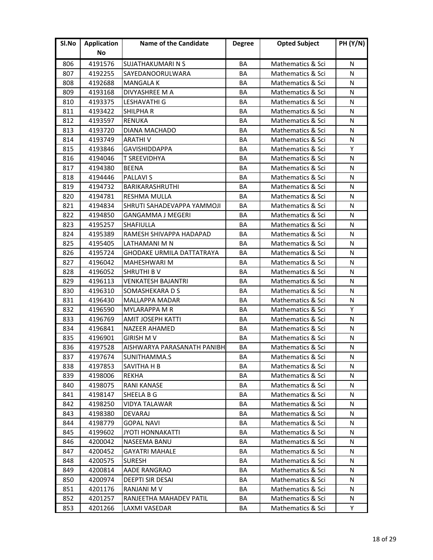| SI.No | <b>Application</b> | Name of the Candidate            | <b>Degree</b> | <b>Opted Subject</b> | <b>PH (Y/N)</b> |
|-------|--------------------|----------------------------------|---------------|----------------------|-----------------|
|       | No                 |                                  |               |                      |                 |
| 806   | 4191576            | SUJATHAKUMARI N S                | BA            | Mathematics & Sci    | N               |
| 807   | 4192255            | SAYEDANOORULWARA                 | BA            | Mathematics & Sci    | N               |
| 808   | 4192688            | <b>MANGALA K</b>                 | BA            | Mathematics & Sci    | N               |
| 809   | 4193168            | DIVYASHREE M A                   | BA            | Mathematics & Sci    | N               |
| 810   | 4193375            | LESHAVATHI G                     | BA            | Mathematics & Sci    | N               |
| 811   | 4193422            | <b>SHILPHAR</b>                  | BA            | Mathematics & Sci    | N               |
| 812   | 4193597            | <b>RENUKA</b>                    | BA            | Mathematics & Sci    | N               |
| 813   | 4193720            | <b>DIANA MACHADO</b>             | BA            | Mathematics & Sci    | N               |
| 814   | 4193749            | <b>ARATHIV</b>                   | BA            | Mathematics & Sci    | N               |
| 815   | 4193846            | <b>GAVISHIDDAPPA</b>             | BA            | Mathematics & Sci    | Υ               |
| 816   | 4194046            | <b>T SREEVIDHYA</b>              | BA            | Mathematics & Sci    | N               |
| 817   | 4194380            | <b>BEENA</b>                     | BA            | Mathematics & Sci    | N               |
| 818   | 4194446            | <b>PALLAVIS</b>                  | BA            | Mathematics & Sci    | N               |
| 819   | 4194732            | <b>BARIKARASHRUTHI</b>           | BA            | Mathematics & Sci    | N               |
| 820   | 4194781            | <b>RESHMA MULLA</b>              | BA            | Mathematics & Sci    | N               |
| 821   | 4194834            | SHRUTI SAHADEVAPPA YAMMOJI       | BA            | Mathematics & Sci    | N               |
| 822   | 4194850            | <b>GANGAMMA J MEGERI</b>         | BA            | Mathematics & Sci    | N               |
| 823   | 4195257            | <b>SHAFIULLA</b>                 | BA            | Mathematics & Sci    | N               |
| 824   | 4195389            | RAMESH SHIVAPPA HADAPAD          | BA            | Mathematics & Sci    | N               |
| 825   | 4195405            | LATHAMANI M N                    | BA            | Mathematics & Sci    | N               |
| 826   | 4195724            | <b>GHODAKE URMILA DATTATRAYA</b> | <b>BA</b>     | Mathematics & Sci    | N               |
| 827   | 4196042            | MAHESHWARI M                     | BA            | Mathematics & Sci    | N               |
| 828   | 4196052            | <b>SHRUTHI B V</b>               | BA            | Mathematics & Sci    | N               |
| 829   | 4196113            | <b>VENKATESH BAJANTRI</b>        | BA            | Mathematics & Sci    | N               |
| 830   | 4196310            | SOMASHEKARA D S                  | BA            | Mathematics & Sci    | N               |
| 831   | 4196430            | <b>MALLAPPA MADAR</b>            | BA            | Mathematics & Sci    | N               |
| 832   | 4196590            | <b>MYLARAPPA M R</b>             | BA            | Mathematics & Sci    | Y               |
| 833   | 4196769            | AMIT JOSEPH KATTI                | BA            | Mathematics & Sci    | N               |
| 834   | 4196841            | <b>NAZEER AHAMED</b>             | BA            | Mathematics & Sci    | N               |
| 835   | 4196901            | <b>GIRISH MV</b>                 | BA            | Mathematics & Sci    | N               |
| 836   | 4197528            | AISHWARYA PARASANATH PANIBH.     | BA            | Mathematics & Sci    | N               |
| 837   | 4197674            | SUNITHAMMA.S                     | BA            | Mathematics & Sci    | N               |
| 838   | 4197853            | <b>SAVITHA H B</b>               | BA            | Mathematics & Sci    | N               |
| 839   | 4198006            | <b>REKHA</b>                     | BA            | Mathematics & Sci    | N               |
| 840   | 4198075            | <b>RANI KANASE</b>               | BA            | Mathematics & Sci    | N               |
| 841   | 4198147            | SHEELA B G                       | ВA            | Mathematics & Sci    | N               |
| 842   | 4198250            | VIDYA TALAWAR                    | ВA            | Mathematics & Sci    | N               |
| 843   | 4198380            | <b>DEVARAJ</b>                   | BA            | Mathematics & Sci    | N               |
| 844   | 4198779            | <b>GOPAL NAVI</b>                | BA            | Mathematics & Sci    | N               |
| 845   | 4199602            | <b>JYOTI HONNAKATTI</b>          | BA            | Mathematics & Sci    | N               |
| 846   | 4200042            | NASEEMA BANU                     | BA            | Mathematics & Sci    | N               |
| 847   | 4200452            | <b>GAYATRI MAHALE</b>            | BA            | Mathematics & Sci    | N               |
| 848   | 4200575            | <b>SURESH</b>                    | BA            | Mathematics & Sci    | N               |
| 849   | 4200814            | AADE RANGRAO                     | BA            | Mathematics & Sci    | N               |
| 850   | 4200974            | DEEPTI SIR DESAI                 | ВA            | Mathematics & Sci    | N               |
| 851   | 4201176            | <b>RANJANI M V</b>               | ВA            | Mathematics & Sci    | N               |
| 852   | 4201257            | RANJEETHA MAHADEV PATIL          | BA            | Mathematics & Sci    | N               |
| 853   | 4201266            | LAXMI VASEDAR                    | BA            | Mathematics & Sci    | Y               |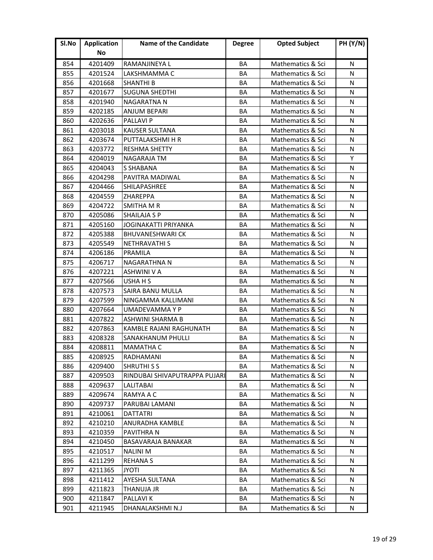| Sl.No | <b>Application</b> | <b>Name of the Candidate</b>   | <b>Degree</b> | <b>Opted Subject</b> | <b>PH (Y/N)</b> |
|-------|--------------------|--------------------------------|---------------|----------------------|-----------------|
|       | No                 |                                |               |                      |                 |
| 854   | 4201409            | RAMANJINEYA L                  | BA            | Mathematics & Sci    | N               |
| 855   | 4201524            | LAKSHMAMMA C                   | ΒA            | Mathematics & Sci    | N               |
| 856   | 4201668            | <b>SHANTHI B</b>               | ΒA            | Mathematics & Sci    | N               |
| 857   | 4201677            | <b>SUGUNA SHEDTHI</b>          | ΒA            | Mathematics & Sci    | N               |
| 858   | 4201940            | NAGARATNA N                    | BA            | Mathematics & Sci    | N               |
| 859   | 4202185            | <b>ANJUM BEPARI</b>            | BA            | Mathematics & Sci    | N               |
| 860   | 4202636            | <b>PALLAVI P</b>               | BA            | Mathematics & Sci    | N               |
| 861   | 4203018            | <b>KAUSER SULTANA</b>          | BA            | Mathematics & Sci    | N               |
| 862   | 4203674            | PUTTALAKSHMI H R               | BA            | Mathematics & Sci    | N               |
| 863   | 4203772            | <b>RESHMA SHETTY</b>           | BA            | Mathematics & Sci    | N               |
| 864   | 4204019            | <b>NAGARAJA TM</b>             | BA            | Mathematics & Sci    | Y               |
| 865   | 4204043            | <b>S SHABANA</b>               | BA            | Mathematics & Sci    | N               |
| 866   | 4204298            | PAVITRA MADIWAL                | BA            | Mathematics & Sci    | N               |
| 867   | 4204466            | SHILAPASHREE                   | ΒA            | Mathematics & Sci    | N               |
| 868   | 4204559            | <b>ZHAREPPA</b>                | BA            | Mathematics & Sci    | N               |
| 869   | 4204722            | <b>SMITHA M R</b>              | BA            | Mathematics & Sci    | N               |
| 870   | 4205086            | <b>SHAILAJA S P</b>            | BA            | Mathematics & Sci    | N               |
| 871   | 4205160            | JOGINAKATTI PRIYANKA           | BA            | Mathematics & Sci    | N               |
| 872   | 4205388            | <b>BHUVANESHWARI CK</b>        | BA            | Mathematics & Sci    | N               |
| 873   | 4205549            | <b>NETHRAVATHI S</b>           | BA            | Mathematics & Sci    | N               |
| 874   | 4206186            | <b>PRAMILA</b>                 | <b>BA</b>     | Mathematics & Sci    | N               |
| 875   | 4206717            | NAGARATHNA N                   | BA            | Mathematics & Sci    | N               |
| 876   | 4207221            | ASHWINI V A                    | ΒA            | Mathematics & Sci    | N               |
| 877   | 4207566            | USHA H S                       | BA            | Mathematics & Sci    | N               |
| 878   | 4207573            | SAIRA BANU MULLA               | BA            | Mathematics & Sci    | N               |
| 879   | 4207599            | NINGAMMA KALLIMANI             | ΒA            | Mathematics & Sci    | N               |
| 880   | 4207664            | UMADEVAMMA Y P                 | BA            | Mathematics & Sci    | N               |
| 881   | 4207822            | ASHWINI SHARMA B               | BA            | Mathematics & Sci    | N               |
| 882   | 4207863            | <b>KAMBLE RAJANI RAGHUNATH</b> | BA            | Mathematics & Sci    | N               |
| 883   | 4208328            | SANAKHANUM PHULLI              | <b>BA</b>     | Mathematics & Sci    | N               |
| 884   | 4208811            | <b>MAMATHA C</b>               | BA            | Mathematics & Sci    | N               |
| 885   | 4208925            | RADHAMANI                      | BA            | Mathematics & Sci    | N               |
| 886   | 4209400            | <b>SHRUTHI S S</b>             | BA            | Mathematics & Sci    | N               |
| 887   | 4209503            | RINDUBAI SHIVAPUTRAPPA PUJARI  | BA            | Mathematics & Sci    | N               |
| 888   | 4209637            | <b>LALITABAI</b>               | BA            | Mathematics & Sci    | N               |
| 889   | 4209674            | RAMYA A C                      | BА            | Mathematics & Sci    | N               |
| 890   | 4209737            | PARUBAI LAMANI                 | BA            | Mathematics & Sci    | N               |
| 891   | 4210061            | <b>DATTATRI</b>                | BA            | Mathematics & Sci    | N               |
| 892   | 4210210            | ANURADHA KAMBLE                | BA            | Mathematics & Sci    | N               |
| 893   | 4210359            | PAVITHRA N                     | BA            | Mathematics & Sci    | N               |
| 894   | 4210450            | BASAVARAJA BANAKAR             | BA            | Mathematics & Sci    | N               |
| 895   | 4210517            | <b>NALINIM</b>                 | BA            | Mathematics & Sci    | N               |
| 896   | 4211299            | <b>REHANA S</b>                | BA            | Mathematics & Sci    | N               |
| 897   | 4211365            | <b>JYOTI</b>                   | BA            | Mathematics & Sci    | N               |
| 898   | 4211412            | AYESHA SULTANA                 | BА            | Mathematics & Sci    | N               |
| 899   | 4211823            | THANUJA JR                     | BA            | Mathematics & Sci    | N               |
| 900   | 4211847            | <b>PALLAVIK</b>                | BA            | Mathematics & Sci    | N               |
| 901   | 4211945            | DHANALAKSHMI N.J               | BA            | Mathematics & Sci    | N               |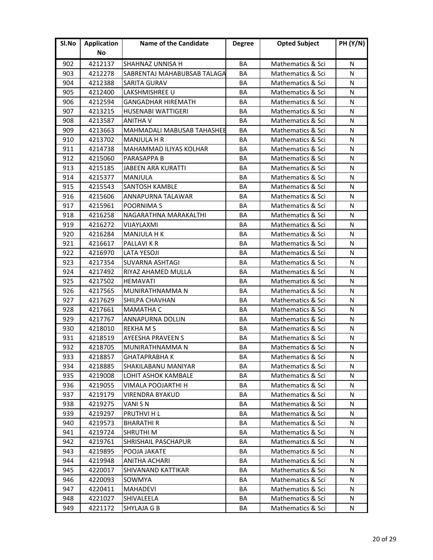| SI.No | <b>Application</b> | <b>Name of the Candidate</b> | <b>Degree</b> | <b>Opted Subject</b> | <b>PH (Y/N)</b> |
|-------|--------------------|------------------------------|---------------|----------------------|-----------------|
|       | No                 |                              |               |                      |                 |
| 902   | 4212137            | SHAHNAZ UNNISA H             | BA            | Mathematics & Sci    | N               |
| 903   | 4212278            | SABRENTAJ MAHABUBSAB TALAGA  | <b>BA</b>     | Mathematics & Sci    | N               |
| 904   | 4212388            | <b>SARITA GURAV</b>          | BA            | Mathematics & Sci    | N               |
| 905   | 4212400            | LAKSHMISHREE U               | BA            | Mathematics & Sci    | N               |
| 906   | 4212594            | <b>GANGADHAR HIREMATH</b>    | BA            | Mathematics & Sci    | N               |
| 907   | 4213215            | <b>HUSENABI WATTIGERI</b>    | BA            | Mathematics & Sci    | N               |
| 908   | 4213587            | <b>ANITHA V</b>              | BA            | Mathematics & Sci    | N               |
| 909   | 4213663            | MAHMADALI MABUSAB TAHASHEE   | BA            | Mathematics & Sci    | N               |
| 910   | 4213702            | <b>MANJULA H R</b>           | BA            | Mathematics & Sci    | N               |
| 911   | 4214738            | MAHAMMAD ILIYAS KOLHAR       | ΒA            | Mathematics & Sci    | N               |
| 912   | 4215060            | PARASAPPA B                  | BA            | Mathematics & Sci    | N               |
| 913   | 4215185            | <b>JABEEN ARA KURATTI</b>    | BA            | Mathematics & Sci    | N               |
| 914   | 4215377            | <b>MANJULA</b>               | <b>BA</b>     | Mathematics & Sci    | N               |
| 915   | 4215543            | SANTOSH KAMBLE               | BA            | Mathematics & Sci    | N               |
| 916   | 4215606            | ANNAPURNA TALAWAR            | BA            | Mathematics & Sci    | N               |
| 917   | 4215961            | POORNIMA S                   | BA            | Mathematics & Sci    | N               |
| 918   | 4216258            | NAGARATHNA MARAKALTHI        | <b>BA</b>     | Mathematics & Sci    | N               |
| 919   | 4216272            | <b>VIJAYLAXMI</b>            | BA            | Mathematics & Sci    | N               |
| 920   | 4216284            | <b>MANJULA H K</b>           | ΒA            | Mathematics & Sci    | N               |
| 921   | 4216617            | <b>PALLAVIKR</b>             | BA            | Mathematics & Sci    | N               |
| 922   | 4216970            | <b>LATA YESOJI</b>           | BA            | Mathematics & Sci    | N               |
| 923   | 4217354            | <b>SUVARNA ASHTAGI</b>       | <b>BA</b>     | Mathematics & Sci    | N               |
| 924   | 4217492            | RIYAZ AHAMED MULLA           | BA            | Mathematics & Sci    | N               |
| 925   | 4217502            | <b>HEMAVATI</b>              | BA            | Mathematics & Sci    | N               |
| 926   | 4217565            | MUNIRATHNAMMA N              | BA            | Mathematics & Sci    | N               |
| 927   | 4217629            | SHILPA CHAVHAN               | BA            | Mathematics & Sci    | N               |
| 928   | 4217661            | <b>MAMATHA C</b>             | BA            | Mathematics & Sci    | N               |
| 929   | 4217767            | <b>ANNAPURNA DOLLIN</b>      | BA            | Mathematics & Sci    | N               |
| 930   | 4218010            | <b>REKHAMS</b>               | BA            | Mathematics & Sci    | N               |
| 931   | 4218519            | <b>AYEESHA PRAVEEN S</b>     | BA            | Mathematics & Sci    | N               |
| 932   | 4218705            | MUNIRATHNAMMA N              | BA            | Mathematics & Sci    | N               |
| 933   | 4218857            | GHATAPRABHA K                | BА            | Mathematics & Sci    | N               |
| 934   | 4218885            | SHAKILABANU MANIYAR          | BA            | Mathematics & Sci    | N               |
| 935   | 4219008            | LOHIT ASHOK KAMBALE          | BA            | Mathematics & Sci    | N               |
| 936   | 4219055            | VIMALA POOJARTHI H           | BA            | Mathematics & Sci    | N               |
| 937   | 4219179            | VIRENDRA BYAKUD              | BA            | Mathematics & Sci    | N               |
| 938   | 4219275            | VANI S N                     | BA            | Mathematics & Sci    | N               |
| 939   | 4219297            | PRUTHVI H L                  | BA            | Mathematics & Sci    | N               |
| 940   | 4219573            | <b>BHARATHIR</b>             | BA            | Mathematics & Sci    | N               |
| 941   | 4219724            | <b>SHRUTHI M</b>             | BA            | Mathematics & Sci    | N               |
| 942   | 4219761            | SHRISHAIL PASCHAPUR          | ВA            | Mathematics & Sci    | N               |
| 943   | 4219895            | POOJA JAKATE                 | BA            | Mathematics & Sci    | N               |
| 944   | 4219948            | ANITHA ACHARI                | BA            | Mathematics & Sci    | N               |
| 945   | 4220017            | SHIVANAND KATTIKAR           | BA            | Mathematics & Sci    | N               |
| 946   | 4220093            | SOWMYA                       | BА            | Mathematics & Sci    | N               |
| 947   | 4220411            | <b>MAHADEVI</b>              | BA            | Mathematics & Sci    | N               |
| 948   | 4221027            | SHIVALEELA                   | BA            | Mathematics & Sci    | N               |
| 949   | 4221172            | SHYLAJA G B                  | BA            | Mathematics & Sci    | N               |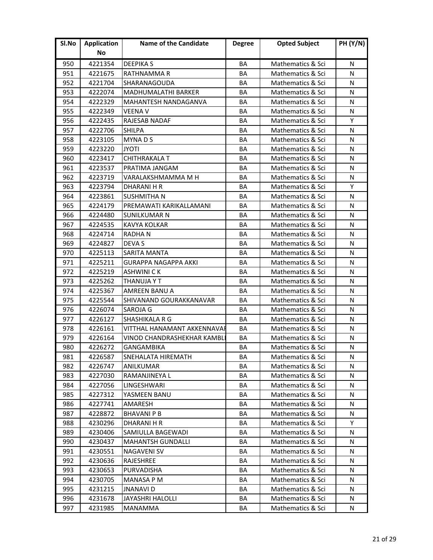| Sl.No | <b>Application</b> | Name of the Candidate       | <b>Degree</b> | <b>Opted Subject</b> | <b>PH (Y/N)</b> |
|-------|--------------------|-----------------------------|---------------|----------------------|-----------------|
|       | No                 |                             |               |                      |                 |
| 950   | 4221354            | <b>DEEPIKAS</b>             | BA            | Mathematics & Sci    | N               |
| 951   | 4221675            | RATHNAMMA R                 | BA            | Mathematics & Sci    | N               |
| 952   | 4221704            | SHARANAGOUDA                | BA            | Mathematics & Sci    | N               |
| 953   | 4222074            | <b>MADHUMALATHI BARKER</b>  | BA            | Mathematics & Sci    | N               |
| 954   | 4222329            | MAHANTESH NANDAGANVA        | BA            | Mathematics & Sci    | N               |
| 955   | 4222349            | <b>VEENA V</b>              | BA            | Mathematics & Sci    | N               |
| 956   | 4222435            | RAJESAB NADAF               | BA            | Mathematics & Sci    | Y               |
| 957   | 4222706            | <b>SHILPA</b>               | BA            | Mathematics & Sci    | N               |
| 958   | 4223105            | MYNADS                      | BA            | Mathematics & Sci    | N               |
| 959   | 4223220            | <b>JYOTI</b>                | BA            | Mathematics & Sci    | N               |
| 960   | 4223417            | CHITHRAKALA T               | BA            | Mathematics & Sci    | N               |
| 961   | 4223537            | PRATIMA JANGAM              | BA            | Mathematics & Sci    | N               |
| 962   | 4223719            | VARALAKSHMAMMA M H          | BA            | Mathematics & Sci    | N               |
| 963   | 4223794            | DHARANI H R                 | BA            | Mathematics & Sci    | Y               |
| 964   | 4223861            | <b>SUSHMITHAN</b>           | BA            | Mathematics & Sci    | N               |
| 965   | 4224179            | PREMAWATI KARIKALLAMANI     | BA            | Mathematics & Sci    | N               |
| 966   | 4224480            | <b>SUNILKUMAR N</b>         | BA            | Mathematics & Sci    | N               |
| 967   | 4224535            | KAVYA KOLKAR                | BA            | Mathematics & Sci    | N               |
| 968   | 4224714            | <b>RADHAN</b>               | BA            | Mathematics & Sci    | N               |
| 969   | 4224827            | <b>DEVA S</b>               | BA            | Mathematics & Sci    | N               |
| 970   | 4225113            | <b>SARITA MANTA</b>         | <b>BA</b>     | Mathematics & Sci    | N               |
| 971   | 4225211            | <b>GURAPPA NAGAPPA AKKI</b> | BA            | Mathematics & Sci    | N               |
| 972   | 4225219            | ASHWINI C K                 | ΒA            | Mathematics & Sci    | N               |
| 973   | 4225262            | THANUJA Y T                 | BA            | Mathematics & Sci    | N               |
| 974   | 4225367            | <b>AMREEN BANU A</b>        | BA            | Mathematics & Sci    | N               |
| 975   | 4225544            | SHIVANAND GOURAKKANAVAR     | BA            | Mathematics & Sci    | N               |
| 976   | 4226074            | SAROJA G                    | BA            | Mathematics & Sci    | N               |
| 977   | 4226127            | <b>SHASHIKALA R G</b>       | BA            | Mathematics & Sci    | N               |
| 978   | 4226161            | VITTHAL HANAMANT AKKENNAVAF | BA            | Mathematics & Sci    | N               |
| 979   | 4226164            | VINOD CHANDRASHEKHAR KAMBL  | BA            | Mathematics & Sci    | N               |
| 980   | 4226272            | GANGAMBIKA                  | BA            | Mathematics & Sci    | N               |
| 981   | 4226587            | SNEHALATA HIREMATH          | ВA            | Mathematics & Sci    | N               |
| 982   | 4226747            | ANILKUMAR                   | BA            | Mathematics & Sci    | N               |
| 983   | 4227030            | RAMANJINEYA L               | BA            | Mathematics & Sci    | N               |
| 984   | 4227056            | LINGESHWARI                 | BA            | Mathematics & Sci    | N               |
| 985   | 4227312            | YASMEEN BANU                | BА            | Mathematics & Sci    | N               |
| 986   | 4227741            | AMARESH                     | BA            | Mathematics & Sci    | N               |
| 987   | 4228872            | <b>BHAVANI P B</b>          | BA            | Mathematics & Sci    | N               |
| 988   | 4230296            | <b>DHARANI H R</b>          | BA            | Mathematics & Sci    | Y               |
| 989   | 4230406            | SAMIULLA BAGEWADI           | BA            | Mathematics & Sci    | N               |
| 990   | 4230437            | <b>MAHANTSH GUNDALLI</b>    | BA            | Mathematics & Sci    | N               |
| 991   | 4230551            | <b>NAGAVENI SV</b>          | BA            | Mathematics & Sci    | N               |
| 992   | 4230636            | <b>RAJESHREE</b>            | BA            | Mathematics & Sci    | N               |
| 993   | 4230653            | PURVADISHA                  | BA            | Mathematics & Sci    | N               |
| 994   | 4230705            | <b>MANASA P M</b>           | ВA            | Mathematics & Sci    | N               |
| 995   | 4231215            | <b>JNANAVID</b>             | ВA            | Mathematics & Sci    | N               |
| 996   | 4231678            | JAYASHRI HALOLLI            | ВA            | Mathematics & Sci    | N               |
| 997   | 4231985            | <b>MANAMMA</b>              | BA            | Mathematics & Sci    | N               |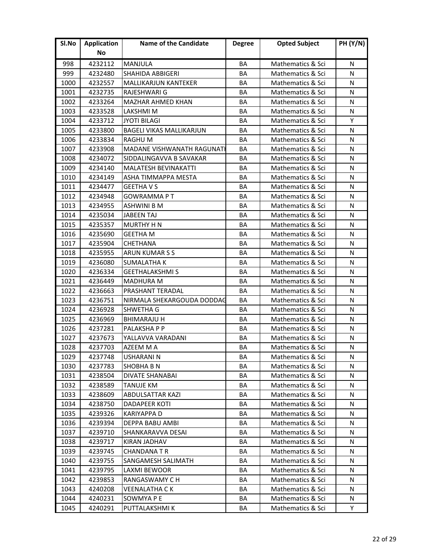| Sl.No | <b>Application</b> | <b>Name of the Candidate</b>    | <b>Degree</b> | <b>Opted Subject</b> | <b>PH (Y/N)</b> |
|-------|--------------------|---------------------------------|---------------|----------------------|-----------------|
|       | No                 |                                 |               |                      |                 |
| 998   | 4232112            | MANJULA                         | BA            | Mathematics & Sci    | N               |
| 999   | 4232480            | <b>SHAHIDA ABBIGERI</b>         | BA            | Mathematics & Sci    | N               |
| 1000  | 4232557            | <b>MALLIKARJUN KANTEKER</b>     | <b>BA</b>     | Mathematics & Sci    | N               |
| 1001  | 4232735            | RAJESHWARI G                    | <b>BA</b>     | Mathematics & Sci    | N               |
| 1002  | 4233264            | <b>MAZHAR AHMED KHAN</b>        | BA            | Mathematics & Sci    | N               |
| 1003  | 4233528            | LAKSHMI M                       | BA            | Mathematics & Sci    | N               |
| 1004  | 4233712            | <b>JYOTI BILAGI</b>             | BA            | Mathematics & Sci    | Y               |
| 1005  | 4233800            | <b>BAGELI VIKAS MALLIKARJUN</b> | BA            | Mathematics & Sci    | N               |
| 1006  | 4233834            | <b>RAGHUM</b>                   | BA            | Mathematics & Sci    | N               |
| 1007  | 4233908            | MADANE VISHWANATH RAGUNATH      | BA            | Mathematics & Sci    | N               |
| 1008  | 4234072            | SIDDALINGAVVA B SAVAKAR         | BA            | Mathematics & Sci    | N               |
| 1009  | 4234140            | <b>MALATESH BEVINAKATTI</b>     | BA            | Mathematics & Sci    | N               |
| 1010  | 4234149            | ASHA TIMMAPPA MESTA             | BA            | Mathematics & Sci    | N               |
| 1011  | 4234477            | <b>GEETHA V S</b>               | BA            | Mathematics & Sci    | N               |
| 1012  | 4234948            | <b>GOWRAMMAPT</b>               | BA            | Mathematics & Sci    | N               |
| 1013  | 4234955            | <b>ASHWINI B M</b>              | BA            | Mathematics & Sci    | N               |
| 1014  | 4235034            | <b>JABEEN TAJ</b>               | BA            | Mathematics & Sci    | N               |
| 1015  | 4235357            | <b>MURTHY H N</b>               | BA            | Mathematics & Sci    | N               |
| 1016  | 4235690            | <b>GEETHA M</b>                 | BA            | Mathematics & Sci    | N               |
| 1017  | 4235904            | <b>CHETHANA</b>                 | BA            | Mathematics & Sci    | N               |
| 1018  | 4235955            | ARUN KUMAR S S                  | <b>BA</b>     | Mathematics & Sci    | N               |
| 1019  | 4236080            | <b>SUMALATHA K</b>              | BA            | Mathematics & Sci    | N               |
| 1020  | 4236334            | <b>GEETHALAKSHMI S</b>          | BA            | Mathematics & Sci    | N               |
| 1021  | 4236449            | <b>MADHURA M</b>                | BA            | Mathematics & Sci    | N               |
| 1022  | 4236663            | PRASHANT TERADAL                | BA            | Mathematics & Sci    | N               |
| 1023  | 4236751            | NIRMALA SHEKARGOUDA DODDAG      | BA            | Mathematics & Sci    | N               |
| 1024  | 4236928            | SHWETHA G                       | BA            | Mathematics & Sci    | N               |
| 1025  | 4236969            | <b>BHIMARAJU H</b>              | BA            | Mathematics & Sci    | N               |
| 1026  | 4237281            | PALAKSHA P P                    | BA            | Mathematics & Sci    | N               |
| 1027  | 4237673            | YALLAVVA VARADANI               | <b>BA</b>     | Mathematics & Sci    | N               |
| 1028  | 4237703            | AZEEM M A                       | BA            | Mathematics & Sci    | N               |
| 1029  | 4237748            | USHARANI N                      | BA            | Mathematics & Sci    | N               |
| 1030  | 4237783            | <b>SHOBHA B N</b>               | BA            | Mathematics & Sci    | N               |
| 1031  | 4238504            | <b>DIVATE SHANABAI</b>          | BA            | Mathematics & Sci    | N               |
| 1032  | 4238589            | <b>TANUJE KM</b>                | BA            | Mathematics & Sci    | N               |
| 1033  | 4238609            | ABDULSATTAR KAZI                | BA            | Mathematics & Sci    | N               |
| 1034  | 4238750            | DADAPEER KOTI                   | BA            | Mathematics & Sci    | N               |
| 1035  | 4239326            | <b>KARIYAPPA D</b>              | BA            | Mathematics & Sci    | N               |
| 1036  | 4239394            | DEPPA BABU AMBI                 | BA            | Mathematics & Sci    | N               |
| 1037  | 4239710            | SHANKARAVVA DESAI               | BA            | Mathematics & Sci    | N               |
| 1038  | 4239717            | <b>KIRAN JADHAV</b>             | BA            | Mathematics & Sci    | N               |
| 1039  | 4239745            | <b>CHANDANATR</b>               | BA            | Mathematics & Sci    | N               |
| 1040  | 4239755            | SANGAMESH SALIMATH              | BA            | Mathematics & Sci    | N               |
| 1041  | 4239795            | LAXMI BEWOOR                    | BA            | Mathematics & Sci    | N               |
| 1042  | 4239853            | RANGASWAMY C H                  | ВA            | Mathematics & Sci    | N               |
| 1043  | 4240208            | <b>VEENALATHA CK</b>            | BA            | Mathematics & Sci    | N               |
| 1044  | 4240231            | SOWMYA P E                      | BA            | Mathematics & Sci    | N               |
| 1045  | 4240291            | PUTTALAKSHMI K                  | BA            | Mathematics & Sci    | Y               |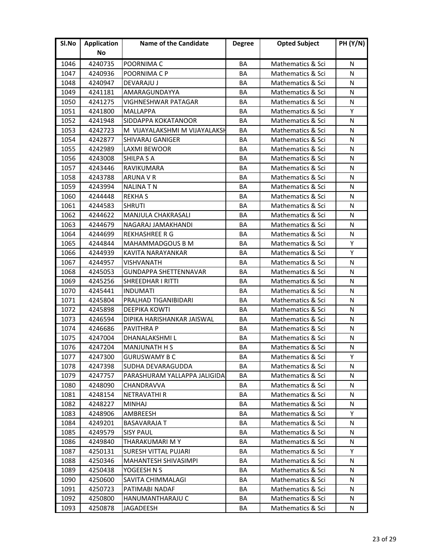| Sl.No | <b>Application</b> | <b>Name of the Candidate</b>  | <b>Degree</b> | <b>Opted Subject</b> | <b>PH (Y/N)</b> |
|-------|--------------------|-------------------------------|---------------|----------------------|-----------------|
|       | No                 |                               |               |                      |                 |
| 1046  | 4240735            | POORNIMA C                    | BA            | Mathematics & Sci    | N               |
| 1047  | 4240936            | POORNIMA C P                  | BA            | Mathematics & Sci    | N               |
| 1048  | 4240947            | <b>DEVARAJU J</b>             | BA            | Mathematics & Sci    | N               |
| 1049  | 4241181            | AMARAGUNDAYYA                 | <b>BA</b>     | Mathematics & Sci    | N               |
| 1050  | 4241275            | VIGHNESHWAR PATAGAR           | BA            | Mathematics & Sci    | N               |
| 1051  | 4241800            | <b>MALLAPPA</b>               | BA            | Mathematics & Sci    | Y               |
| 1052  | 4241948            | SIDDAPPA KOKATANOOR           | BA            | Mathematics & Sci    | N               |
| 1053  | 4242723            | M VIJAYALAKSHMI M VIJAYALAKSH | BA            | Mathematics & Sci    | N               |
| 1054  | 4242877            | SHIVARAJ GANIGER              | BA            | Mathematics & Sci    | N               |
| 1055  | 4242989            | LAXMI BEWOOR                  | BA            | Mathematics & Sci    | N               |
| 1056  | 4243008            | <b>SHILPA S A</b>             | BA            | Mathematics & Sci    | N               |
| 1057  | 4243446            | RAVIKUMARA                    | BA            | Mathematics & Sci    | N               |
| 1058  | 4243788            | <b>ARUNA V R</b>              | BA            | Mathematics & Sci    | N               |
| 1059  | 4243994            | NALINA T N                    | BA            | Mathematics & Sci    | N               |
| 1060  | 4244448            | <b>REKHAS</b>                 | BA            | Mathematics & Sci    | N               |
| 1061  | 4244583            | <b>SHRUTI</b>                 | BA            | Mathematics & Sci    | N               |
| 1062  | 4244622            | <b>MANJULA CHAKRASALI</b>     | BA            | Mathematics & Sci    | N               |
| 1063  | 4244679            | NAGARAJ JAMAKHANDI            | BA            | Mathematics & Sci    | N               |
| 1064  | 4244699            | <b>REKHASHREE R G</b>         | BA            | Mathematics & Sci    | N               |
| 1065  | 4244844            | <b>MAHAMMADGOUS B M</b>       | BA            | Mathematics & Sci    | Y               |
| 1066  | 4244939            | KAVITA NARAYANKAR             | <b>BA</b>     | Mathematics & Sci    | Υ               |
| 1067  | 4244957            | <b>VISHVANATH</b>             | BA            | Mathematics & Sci    | N               |
| 1068  | 4245053            | <b>GUNDAPPA SHETTENNAVAR</b>  | ΒA            | Mathematics & Sci    | N               |
| 1069  | 4245256            | <b>SHREEDHAR I RITTI</b>      | BA            | Mathematics & Sci    | N               |
| 1070  | 4245441            | <b>INDUMATI</b>               | BA            | Mathematics & Sci    | N               |
| 1071  | 4245804            | PRALHAD TIGANIBIDARI          | BA            | Mathematics & Sci    | N               |
| 1072  | 4245898            | <b>DEEPIKA KOWTI</b>          | BA            | Mathematics & Sci    | N               |
| 1073  | 4246594            | DIPIKA HARISHANKAR JAISWAL    | BA            | Mathematics & Sci    | N               |
| 1074  | 4246686            | <b>PAVITHRA P</b>             | BA            | Mathematics & Sci    | N               |
| 1075  | 4247004            | DHANALAKSHMI L                | <b>BA</b>     | Mathematics & Sci    | N               |
| 1076  | 4247204            | <b>MANJUNATH H S</b>          | BA            | Mathematics & Sci    | N               |
| 1077  | 4247300            | <b>GURUSWAMY B C</b>          | ВA            | Mathematics & Sci    | Υ               |
| 1078  | 4247398            | <b>SUDHA DEVARAGUDDA</b>      | BA            | Mathematics & Sci    | N               |
| 1079  | 4247757            | PARASHURAM YALLAPPA JALIGIDA  | BA            | Mathematics & Sci    | N               |
| 1080  | 4248090            | CHANDRAVVA                    | BA            | Mathematics & Sci    | N               |
| 1081  | 4248154            | <b>NETRAVATHI R</b>           | BА            | Mathematics & Sci    | N               |
| 1082  | 4248227            | <b>MINHAJ</b>                 | BA            | Mathematics & Sci    | N               |
| 1083  | 4248906            | AMBREESH                      | BA            | Mathematics & Sci    | Y               |
| 1084  | 4249201            | <b>BASAVARAJA T</b>           | BA            | Mathematics & Sci    | N               |
| 1085  | 4249579            | <b>SISY PAUL</b>              | BA            | Mathematics & Sci    | N               |
| 1086  | 4249840            | THARAKUMARI M Y               | BA            | Mathematics & Sci    | N               |
| 1087  | 4250131            | <b>SURESH VITTAL PUJARI</b>   | BA            | Mathematics & Sci    | Y               |
| 1088  | 4250346            | MAHANTESH SHIVASIMPI          | BA            | Mathematics & Sci    | N               |
| 1089  | 4250438            | YOGEESH N S                   | BA            | Mathematics & Sci    | N               |
| 1090  | 4250600            | SAVITA CHIMMALAGI             | BА            | Mathematics & Sci    | N               |
| 1091  | 4250723            | PATIMABI NADAF                | BA            | Mathematics & Sci    | N               |
| 1092  | 4250800            | HANUMANTHARAJU C              | ВA            | Mathematics & Sci    | N               |
| 1093  | 4250878            | JAGADEESH                     | BA            | Mathematics & Sci    | N               |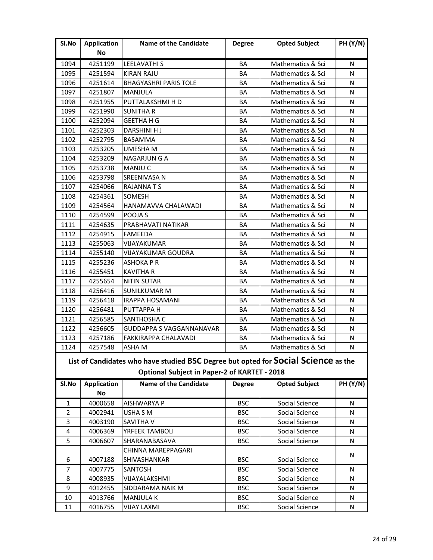| No<br>4251199<br>1094<br><b>LEELAVATHI S</b><br>BA<br>Mathematics & Sci<br>N<br>1095<br><b>KIRAN RAJU</b><br>N<br>4251594<br>BA<br>Mathematics & Sci<br>1096<br>N<br>4251614<br><b>BHAGYASHRI PARIS TOLE</b><br>BA<br>Mathematics & Sci<br>1097<br>N<br>4251807<br>MANJULA<br>BA<br>Mathematics & Sci<br>1098<br>PUTTALAKSHMI H D<br>Mathematics & Sci<br>N<br>4251955<br>BA<br>1099<br>Mathematics & Sci<br>N<br>4251990<br><b>SUNITHA R</b><br>BA<br>1100<br>4252094<br><b>GEETHA H G</b><br>Mathematics & Sci<br>N<br>BA<br>1101<br>DARSHINI H J<br>N<br>4252303<br>BA<br>Mathematics & Sci<br>N<br>1102<br>4252795<br><b>BASAMMA</b><br>BA<br>Mathematics & Sci<br>N<br>1103<br>4253205<br>UMESHA M<br>BA<br>Mathematics & Sci<br>1104<br>4253209<br>N<br><b>NAGARJUN G A</b><br>BA<br>Mathematics & Sci<br>1105<br><b>MANJUC</b><br>BA<br>N<br>4253738<br>Mathematics & Sci<br>1106<br><b>SREENIVASA N</b><br>N<br>4253798<br>BA<br>Mathematics & Sci<br>1107<br>N<br>4254066<br><b>RAJANNATS</b><br>BA<br>Mathematics & Sci<br>1108<br>4254361<br><b>SOMESH</b><br>BA<br>Mathematics & Sci<br>N<br>1109<br>4254564<br>HANAMAVVA CHALAWADI<br>BA<br>Mathematics & Sci<br>N<br>1110<br>POOJA S<br>BA<br>N<br>4254599<br>Mathematics & Sci<br>1111<br>N<br>4254635<br>PRABHAVATI NATIKAR<br>BA<br>Mathematics & Sci<br>N<br>1112<br>4254915<br><b>FAMEEDA</b><br>BA<br>Mathematics & Sci<br>1113<br>4255063<br>N<br>VIJAYAKUMAR<br>BA<br>Mathematics & Sci<br>1114<br>N<br>4255140<br><b>VIJAYAKUMAR GOUDRA</b><br>BA<br>Mathematics & Sci<br>1115<br>N<br>4255236<br><b>ASHOKA P R</b><br>BA<br>Mathematics & Sci<br>1116<br>4255451<br><b>KAVITHA R</b><br>BA<br>Mathematics & Sci<br>N<br>1117<br>4255654<br><b>NITIN SUTAR</b><br>BA<br>Mathematics & Sci<br>N<br>N<br>1118<br>4256416<br><b>SUNILKUMAR M</b><br>BA<br>Mathematics & Sci<br>1119<br><b>IRAPPA HOSAMANI</b><br>N<br>4256418<br>BA<br>Mathematics & Sci<br>1120<br>4256481<br><b>PUTTAPPA H</b><br>Mathematics & Sci<br>N<br>BA<br>1121<br>N<br>4256585<br>SANTHOSHA C<br>BA<br>Mathematics & Sci<br>1122<br>4256605<br>GUDDAPPA S VAGGANNANAVAR<br>BA<br>Mathematics & Sci<br>N<br>1123<br>4257186<br>N<br><b>FAKKIRAPPA CHALAVADI</b><br>BA<br>Mathematics & Sci<br>N<br>1124<br>4257548<br>ASHA M<br>BA<br>Mathematics & Sci<br>List of Candidates who have studied BSC Degree but opted for Social Science as the<br><b>Optional Subject in Paper-2 of KARTET - 2018</b><br><b>Name of the Candidate</b><br><b>PH (Y/N)</b><br>Sl.No<br><b>Application</b><br><b>Opted Subject</b><br><b>Degree</b><br><b>No</b><br>4000658<br><b>AISHWARYA P</b><br><b>BSC</b><br>Social Science<br>N<br>1<br>$\overline{2}$<br>4002941<br>USHA S M<br><b>BSC</b><br>Social Science<br>N<br>3<br><b>SAVITHA V</b><br><b>BSC</b><br>4003190<br>Social Science<br>N<br><b>BSC</b><br>4<br>4006369<br>YRFEEK TAMBOLI<br>Social Science<br>N<br>5<br>4006607<br>SHARANABASAVA<br><b>BSC</b><br>Social Science<br>N<br>CHINNA MAREPPAGARI<br>N<br>4007188<br>SHIVASHANKAR<br><b>BSC</b><br>Social Science<br>6<br>7<br><b>BSC</b><br>4007775<br>SANTOSH<br>Social Science<br>N<br>8<br>4008935<br>VIJAYALAKSHMI<br><b>BSC</b><br>Social Science<br>N<br>9<br>4012455<br><b>BSC</b><br>Social Science<br>SIDDARAMA NAIK M<br>N<br>Social Science<br>10<br>4013766<br><b>MANJULA K</b><br><b>BSC</b><br>N<br><b>VIJAY LAXMI</b><br>11<br>4016755<br><b>BSC</b><br>Social Science<br>N | SI.No | <b>Application</b> | <b>Name of the Candidate</b> | <b>Degree</b> | <b>Opted Subject</b> | <b>PH (Y/N)</b> |
|------------------------------------------------------------------------------------------------------------------------------------------------------------------------------------------------------------------------------------------------------------------------------------------------------------------------------------------------------------------------------------------------------------------------------------------------------------------------------------------------------------------------------------------------------------------------------------------------------------------------------------------------------------------------------------------------------------------------------------------------------------------------------------------------------------------------------------------------------------------------------------------------------------------------------------------------------------------------------------------------------------------------------------------------------------------------------------------------------------------------------------------------------------------------------------------------------------------------------------------------------------------------------------------------------------------------------------------------------------------------------------------------------------------------------------------------------------------------------------------------------------------------------------------------------------------------------------------------------------------------------------------------------------------------------------------------------------------------------------------------------------------------------------------------------------------------------------------------------------------------------------------------------------------------------------------------------------------------------------------------------------------------------------------------------------------------------------------------------------------------------------------------------------------------------------------------------------------------------------------------------------------------------------------------------------------------------------------------------------------------------------------------------------------------------------------------------------------------------------------------------------------------------------------------------------------------------------------------------------------------------------------------------------------------------------------------------------------------------------------------------------------------------------------------------------------------------------------------------------------------------------------------------------------------------------------------------------------------------------------------------------------------------------------------------------------------------------------------------------------------------------------------------------------------------------------------------------------------------------------------------------------------------------------------------------------------------------------------------------------------------------------------------------------------------------------|-------|--------------------|------------------------------|---------------|----------------------|-----------------|
|                                                                                                                                                                                                                                                                                                                                                                                                                                                                                                                                                                                                                                                                                                                                                                                                                                                                                                                                                                                                                                                                                                                                                                                                                                                                                                                                                                                                                                                                                                                                                                                                                                                                                                                                                                                                                                                                                                                                                                                                                                                                                                                                                                                                                                                                                                                                                                                                                                                                                                                                                                                                                                                                                                                                                                                                                                                                                                                                                                                                                                                                                                                                                                                                                                                                                                                                                                                                                                          |       |                    |                              |               |                      |                 |
|                                                                                                                                                                                                                                                                                                                                                                                                                                                                                                                                                                                                                                                                                                                                                                                                                                                                                                                                                                                                                                                                                                                                                                                                                                                                                                                                                                                                                                                                                                                                                                                                                                                                                                                                                                                                                                                                                                                                                                                                                                                                                                                                                                                                                                                                                                                                                                                                                                                                                                                                                                                                                                                                                                                                                                                                                                                                                                                                                                                                                                                                                                                                                                                                                                                                                                                                                                                                                                          |       |                    |                              |               |                      |                 |
|                                                                                                                                                                                                                                                                                                                                                                                                                                                                                                                                                                                                                                                                                                                                                                                                                                                                                                                                                                                                                                                                                                                                                                                                                                                                                                                                                                                                                                                                                                                                                                                                                                                                                                                                                                                                                                                                                                                                                                                                                                                                                                                                                                                                                                                                                                                                                                                                                                                                                                                                                                                                                                                                                                                                                                                                                                                                                                                                                                                                                                                                                                                                                                                                                                                                                                                                                                                                                                          |       |                    |                              |               |                      |                 |
|                                                                                                                                                                                                                                                                                                                                                                                                                                                                                                                                                                                                                                                                                                                                                                                                                                                                                                                                                                                                                                                                                                                                                                                                                                                                                                                                                                                                                                                                                                                                                                                                                                                                                                                                                                                                                                                                                                                                                                                                                                                                                                                                                                                                                                                                                                                                                                                                                                                                                                                                                                                                                                                                                                                                                                                                                                                                                                                                                                                                                                                                                                                                                                                                                                                                                                                                                                                                                                          |       |                    |                              |               |                      |                 |
|                                                                                                                                                                                                                                                                                                                                                                                                                                                                                                                                                                                                                                                                                                                                                                                                                                                                                                                                                                                                                                                                                                                                                                                                                                                                                                                                                                                                                                                                                                                                                                                                                                                                                                                                                                                                                                                                                                                                                                                                                                                                                                                                                                                                                                                                                                                                                                                                                                                                                                                                                                                                                                                                                                                                                                                                                                                                                                                                                                                                                                                                                                                                                                                                                                                                                                                                                                                                                                          |       |                    |                              |               |                      |                 |
|                                                                                                                                                                                                                                                                                                                                                                                                                                                                                                                                                                                                                                                                                                                                                                                                                                                                                                                                                                                                                                                                                                                                                                                                                                                                                                                                                                                                                                                                                                                                                                                                                                                                                                                                                                                                                                                                                                                                                                                                                                                                                                                                                                                                                                                                                                                                                                                                                                                                                                                                                                                                                                                                                                                                                                                                                                                                                                                                                                                                                                                                                                                                                                                                                                                                                                                                                                                                                                          |       |                    |                              |               |                      |                 |
|                                                                                                                                                                                                                                                                                                                                                                                                                                                                                                                                                                                                                                                                                                                                                                                                                                                                                                                                                                                                                                                                                                                                                                                                                                                                                                                                                                                                                                                                                                                                                                                                                                                                                                                                                                                                                                                                                                                                                                                                                                                                                                                                                                                                                                                                                                                                                                                                                                                                                                                                                                                                                                                                                                                                                                                                                                                                                                                                                                                                                                                                                                                                                                                                                                                                                                                                                                                                                                          |       |                    |                              |               |                      |                 |
|                                                                                                                                                                                                                                                                                                                                                                                                                                                                                                                                                                                                                                                                                                                                                                                                                                                                                                                                                                                                                                                                                                                                                                                                                                                                                                                                                                                                                                                                                                                                                                                                                                                                                                                                                                                                                                                                                                                                                                                                                                                                                                                                                                                                                                                                                                                                                                                                                                                                                                                                                                                                                                                                                                                                                                                                                                                                                                                                                                                                                                                                                                                                                                                                                                                                                                                                                                                                                                          |       |                    |                              |               |                      |                 |
|                                                                                                                                                                                                                                                                                                                                                                                                                                                                                                                                                                                                                                                                                                                                                                                                                                                                                                                                                                                                                                                                                                                                                                                                                                                                                                                                                                                                                                                                                                                                                                                                                                                                                                                                                                                                                                                                                                                                                                                                                                                                                                                                                                                                                                                                                                                                                                                                                                                                                                                                                                                                                                                                                                                                                                                                                                                                                                                                                                                                                                                                                                                                                                                                                                                                                                                                                                                                                                          |       |                    |                              |               |                      |                 |
|                                                                                                                                                                                                                                                                                                                                                                                                                                                                                                                                                                                                                                                                                                                                                                                                                                                                                                                                                                                                                                                                                                                                                                                                                                                                                                                                                                                                                                                                                                                                                                                                                                                                                                                                                                                                                                                                                                                                                                                                                                                                                                                                                                                                                                                                                                                                                                                                                                                                                                                                                                                                                                                                                                                                                                                                                                                                                                                                                                                                                                                                                                                                                                                                                                                                                                                                                                                                                                          |       |                    |                              |               |                      |                 |
|                                                                                                                                                                                                                                                                                                                                                                                                                                                                                                                                                                                                                                                                                                                                                                                                                                                                                                                                                                                                                                                                                                                                                                                                                                                                                                                                                                                                                                                                                                                                                                                                                                                                                                                                                                                                                                                                                                                                                                                                                                                                                                                                                                                                                                                                                                                                                                                                                                                                                                                                                                                                                                                                                                                                                                                                                                                                                                                                                                                                                                                                                                                                                                                                                                                                                                                                                                                                                                          |       |                    |                              |               |                      |                 |
|                                                                                                                                                                                                                                                                                                                                                                                                                                                                                                                                                                                                                                                                                                                                                                                                                                                                                                                                                                                                                                                                                                                                                                                                                                                                                                                                                                                                                                                                                                                                                                                                                                                                                                                                                                                                                                                                                                                                                                                                                                                                                                                                                                                                                                                                                                                                                                                                                                                                                                                                                                                                                                                                                                                                                                                                                                                                                                                                                                                                                                                                                                                                                                                                                                                                                                                                                                                                                                          |       |                    |                              |               |                      |                 |
|                                                                                                                                                                                                                                                                                                                                                                                                                                                                                                                                                                                                                                                                                                                                                                                                                                                                                                                                                                                                                                                                                                                                                                                                                                                                                                                                                                                                                                                                                                                                                                                                                                                                                                                                                                                                                                                                                                                                                                                                                                                                                                                                                                                                                                                                                                                                                                                                                                                                                                                                                                                                                                                                                                                                                                                                                                                                                                                                                                                                                                                                                                                                                                                                                                                                                                                                                                                                                                          |       |                    |                              |               |                      |                 |
|                                                                                                                                                                                                                                                                                                                                                                                                                                                                                                                                                                                                                                                                                                                                                                                                                                                                                                                                                                                                                                                                                                                                                                                                                                                                                                                                                                                                                                                                                                                                                                                                                                                                                                                                                                                                                                                                                                                                                                                                                                                                                                                                                                                                                                                                                                                                                                                                                                                                                                                                                                                                                                                                                                                                                                                                                                                                                                                                                                                                                                                                                                                                                                                                                                                                                                                                                                                                                                          |       |                    |                              |               |                      |                 |
|                                                                                                                                                                                                                                                                                                                                                                                                                                                                                                                                                                                                                                                                                                                                                                                                                                                                                                                                                                                                                                                                                                                                                                                                                                                                                                                                                                                                                                                                                                                                                                                                                                                                                                                                                                                                                                                                                                                                                                                                                                                                                                                                                                                                                                                                                                                                                                                                                                                                                                                                                                                                                                                                                                                                                                                                                                                                                                                                                                                                                                                                                                                                                                                                                                                                                                                                                                                                                                          |       |                    |                              |               |                      |                 |
|                                                                                                                                                                                                                                                                                                                                                                                                                                                                                                                                                                                                                                                                                                                                                                                                                                                                                                                                                                                                                                                                                                                                                                                                                                                                                                                                                                                                                                                                                                                                                                                                                                                                                                                                                                                                                                                                                                                                                                                                                                                                                                                                                                                                                                                                                                                                                                                                                                                                                                                                                                                                                                                                                                                                                                                                                                                                                                                                                                                                                                                                                                                                                                                                                                                                                                                                                                                                                                          |       |                    |                              |               |                      |                 |
|                                                                                                                                                                                                                                                                                                                                                                                                                                                                                                                                                                                                                                                                                                                                                                                                                                                                                                                                                                                                                                                                                                                                                                                                                                                                                                                                                                                                                                                                                                                                                                                                                                                                                                                                                                                                                                                                                                                                                                                                                                                                                                                                                                                                                                                                                                                                                                                                                                                                                                                                                                                                                                                                                                                                                                                                                                                                                                                                                                                                                                                                                                                                                                                                                                                                                                                                                                                                                                          |       |                    |                              |               |                      |                 |
|                                                                                                                                                                                                                                                                                                                                                                                                                                                                                                                                                                                                                                                                                                                                                                                                                                                                                                                                                                                                                                                                                                                                                                                                                                                                                                                                                                                                                                                                                                                                                                                                                                                                                                                                                                                                                                                                                                                                                                                                                                                                                                                                                                                                                                                                                                                                                                                                                                                                                                                                                                                                                                                                                                                                                                                                                                                                                                                                                                                                                                                                                                                                                                                                                                                                                                                                                                                                                                          |       |                    |                              |               |                      |                 |
|                                                                                                                                                                                                                                                                                                                                                                                                                                                                                                                                                                                                                                                                                                                                                                                                                                                                                                                                                                                                                                                                                                                                                                                                                                                                                                                                                                                                                                                                                                                                                                                                                                                                                                                                                                                                                                                                                                                                                                                                                                                                                                                                                                                                                                                                                                                                                                                                                                                                                                                                                                                                                                                                                                                                                                                                                                                                                                                                                                                                                                                                                                                                                                                                                                                                                                                                                                                                                                          |       |                    |                              |               |                      |                 |
|                                                                                                                                                                                                                                                                                                                                                                                                                                                                                                                                                                                                                                                                                                                                                                                                                                                                                                                                                                                                                                                                                                                                                                                                                                                                                                                                                                                                                                                                                                                                                                                                                                                                                                                                                                                                                                                                                                                                                                                                                                                                                                                                                                                                                                                                                                                                                                                                                                                                                                                                                                                                                                                                                                                                                                                                                                                                                                                                                                                                                                                                                                                                                                                                                                                                                                                                                                                                                                          |       |                    |                              |               |                      |                 |
|                                                                                                                                                                                                                                                                                                                                                                                                                                                                                                                                                                                                                                                                                                                                                                                                                                                                                                                                                                                                                                                                                                                                                                                                                                                                                                                                                                                                                                                                                                                                                                                                                                                                                                                                                                                                                                                                                                                                                                                                                                                                                                                                                                                                                                                                                                                                                                                                                                                                                                                                                                                                                                                                                                                                                                                                                                                                                                                                                                                                                                                                                                                                                                                                                                                                                                                                                                                                                                          |       |                    |                              |               |                      |                 |
|                                                                                                                                                                                                                                                                                                                                                                                                                                                                                                                                                                                                                                                                                                                                                                                                                                                                                                                                                                                                                                                                                                                                                                                                                                                                                                                                                                                                                                                                                                                                                                                                                                                                                                                                                                                                                                                                                                                                                                                                                                                                                                                                                                                                                                                                                                                                                                                                                                                                                                                                                                                                                                                                                                                                                                                                                                                                                                                                                                                                                                                                                                                                                                                                                                                                                                                                                                                                                                          |       |                    |                              |               |                      |                 |
|                                                                                                                                                                                                                                                                                                                                                                                                                                                                                                                                                                                                                                                                                                                                                                                                                                                                                                                                                                                                                                                                                                                                                                                                                                                                                                                                                                                                                                                                                                                                                                                                                                                                                                                                                                                                                                                                                                                                                                                                                                                                                                                                                                                                                                                                                                                                                                                                                                                                                                                                                                                                                                                                                                                                                                                                                                                                                                                                                                                                                                                                                                                                                                                                                                                                                                                                                                                                                                          |       |                    |                              |               |                      |                 |
|                                                                                                                                                                                                                                                                                                                                                                                                                                                                                                                                                                                                                                                                                                                                                                                                                                                                                                                                                                                                                                                                                                                                                                                                                                                                                                                                                                                                                                                                                                                                                                                                                                                                                                                                                                                                                                                                                                                                                                                                                                                                                                                                                                                                                                                                                                                                                                                                                                                                                                                                                                                                                                                                                                                                                                                                                                                                                                                                                                                                                                                                                                                                                                                                                                                                                                                                                                                                                                          |       |                    |                              |               |                      |                 |
|                                                                                                                                                                                                                                                                                                                                                                                                                                                                                                                                                                                                                                                                                                                                                                                                                                                                                                                                                                                                                                                                                                                                                                                                                                                                                                                                                                                                                                                                                                                                                                                                                                                                                                                                                                                                                                                                                                                                                                                                                                                                                                                                                                                                                                                                                                                                                                                                                                                                                                                                                                                                                                                                                                                                                                                                                                                                                                                                                                                                                                                                                                                                                                                                                                                                                                                                                                                                                                          |       |                    |                              |               |                      |                 |
|                                                                                                                                                                                                                                                                                                                                                                                                                                                                                                                                                                                                                                                                                                                                                                                                                                                                                                                                                                                                                                                                                                                                                                                                                                                                                                                                                                                                                                                                                                                                                                                                                                                                                                                                                                                                                                                                                                                                                                                                                                                                                                                                                                                                                                                                                                                                                                                                                                                                                                                                                                                                                                                                                                                                                                                                                                                                                                                                                                                                                                                                                                                                                                                                                                                                                                                                                                                                                                          |       |                    |                              |               |                      |                 |
|                                                                                                                                                                                                                                                                                                                                                                                                                                                                                                                                                                                                                                                                                                                                                                                                                                                                                                                                                                                                                                                                                                                                                                                                                                                                                                                                                                                                                                                                                                                                                                                                                                                                                                                                                                                                                                                                                                                                                                                                                                                                                                                                                                                                                                                                                                                                                                                                                                                                                                                                                                                                                                                                                                                                                                                                                                                                                                                                                                                                                                                                                                                                                                                                                                                                                                                                                                                                                                          |       |                    |                              |               |                      |                 |
|                                                                                                                                                                                                                                                                                                                                                                                                                                                                                                                                                                                                                                                                                                                                                                                                                                                                                                                                                                                                                                                                                                                                                                                                                                                                                                                                                                                                                                                                                                                                                                                                                                                                                                                                                                                                                                                                                                                                                                                                                                                                                                                                                                                                                                                                                                                                                                                                                                                                                                                                                                                                                                                                                                                                                                                                                                                                                                                                                                                                                                                                                                                                                                                                                                                                                                                                                                                                                                          |       |                    |                              |               |                      |                 |
|                                                                                                                                                                                                                                                                                                                                                                                                                                                                                                                                                                                                                                                                                                                                                                                                                                                                                                                                                                                                                                                                                                                                                                                                                                                                                                                                                                                                                                                                                                                                                                                                                                                                                                                                                                                                                                                                                                                                                                                                                                                                                                                                                                                                                                                                                                                                                                                                                                                                                                                                                                                                                                                                                                                                                                                                                                                                                                                                                                                                                                                                                                                                                                                                                                                                                                                                                                                                                                          |       |                    |                              |               |                      |                 |
|                                                                                                                                                                                                                                                                                                                                                                                                                                                                                                                                                                                                                                                                                                                                                                                                                                                                                                                                                                                                                                                                                                                                                                                                                                                                                                                                                                                                                                                                                                                                                                                                                                                                                                                                                                                                                                                                                                                                                                                                                                                                                                                                                                                                                                                                                                                                                                                                                                                                                                                                                                                                                                                                                                                                                                                                                                                                                                                                                                                                                                                                                                                                                                                                                                                                                                                                                                                                                                          |       |                    |                              |               |                      |                 |
|                                                                                                                                                                                                                                                                                                                                                                                                                                                                                                                                                                                                                                                                                                                                                                                                                                                                                                                                                                                                                                                                                                                                                                                                                                                                                                                                                                                                                                                                                                                                                                                                                                                                                                                                                                                                                                                                                                                                                                                                                                                                                                                                                                                                                                                                                                                                                                                                                                                                                                                                                                                                                                                                                                                                                                                                                                                                                                                                                                                                                                                                                                                                                                                                                                                                                                                                                                                                                                          |       |                    |                              |               |                      |                 |
|                                                                                                                                                                                                                                                                                                                                                                                                                                                                                                                                                                                                                                                                                                                                                                                                                                                                                                                                                                                                                                                                                                                                                                                                                                                                                                                                                                                                                                                                                                                                                                                                                                                                                                                                                                                                                                                                                                                                                                                                                                                                                                                                                                                                                                                                                                                                                                                                                                                                                                                                                                                                                                                                                                                                                                                                                                                                                                                                                                                                                                                                                                                                                                                                                                                                                                                                                                                                                                          |       |                    |                              |               |                      |                 |
|                                                                                                                                                                                                                                                                                                                                                                                                                                                                                                                                                                                                                                                                                                                                                                                                                                                                                                                                                                                                                                                                                                                                                                                                                                                                                                                                                                                                                                                                                                                                                                                                                                                                                                                                                                                                                                                                                                                                                                                                                                                                                                                                                                                                                                                                                                                                                                                                                                                                                                                                                                                                                                                                                                                                                                                                                                                                                                                                                                                                                                                                                                                                                                                                                                                                                                                                                                                                                                          |       |                    |                              |               |                      |                 |
|                                                                                                                                                                                                                                                                                                                                                                                                                                                                                                                                                                                                                                                                                                                                                                                                                                                                                                                                                                                                                                                                                                                                                                                                                                                                                                                                                                                                                                                                                                                                                                                                                                                                                                                                                                                                                                                                                                                                                                                                                                                                                                                                                                                                                                                                                                                                                                                                                                                                                                                                                                                                                                                                                                                                                                                                                                                                                                                                                                                                                                                                                                                                                                                                                                                                                                                                                                                                                                          |       |                    |                              |               |                      |                 |
|                                                                                                                                                                                                                                                                                                                                                                                                                                                                                                                                                                                                                                                                                                                                                                                                                                                                                                                                                                                                                                                                                                                                                                                                                                                                                                                                                                                                                                                                                                                                                                                                                                                                                                                                                                                                                                                                                                                                                                                                                                                                                                                                                                                                                                                                                                                                                                                                                                                                                                                                                                                                                                                                                                                                                                                                                                                                                                                                                                                                                                                                                                                                                                                                                                                                                                                                                                                                                                          |       |                    |                              |               |                      |                 |
|                                                                                                                                                                                                                                                                                                                                                                                                                                                                                                                                                                                                                                                                                                                                                                                                                                                                                                                                                                                                                                                                                                                                                                                                                                                                                                                                                                                                                                                                                                                                                                                                                                                                                                                                                                                                                                                                                                                                                                                                                                                                                                                                                                                                                                                                                                                                                                                                                                                                                                                                                                                                                                                                                                                                                                                                                                                                                                                                                                                                                                                                                                                                                                                                                                                                                                                                                                                                                                          |       |                    |                              |               |                      |                 |
|                                                                                                                                                                                                                                                                                                                                                                                                                                                                                                                                                                                                                                                                                                                                                                                                                                                                                                                                                                                                                                                                                                                                                                                                                                                                                                                                                                                                                                                                                                                                                                                                                                                                                                                                                                                                                                                                                                                                                                                                                                                                                                                                                                                                                                                                                                                                                                                                                                                                                                                                                                                                                                                                                                                                                                                                                                                                                                                                                                                                                                                                                                                                                                                                                                                                                                                                                                                                                                          |       |                    |                              |               |                      |                 |
|                                                                                                                                                                                                                                                                                                                                                                                                                                                                                                                                                                                                                                                                                                                                                                                                                                                                                                                                                                                                                                                                                                                                                                                                                                                                                                                                                                                                                                                                                                                                                                                                                                                                                                                                                                                                                                                                                                                                                                                                                                                                                                                                                                                                                                                                                                                                                                                                                                                                                                                                                                                                                                                                                                                                                                                                                                                                                                                                                                                                                                                                                                                                                                                                                                                                                                                                                                                                                                          |       |                    |                              |               |                      |                 |
|                                                                                                                                                                                                                                                                                                                                                                                                                                                                                                                                                                                                                                                                                                                                                                                                                                                                                                                                                                                                                                                                                                                                                                                                                                                                                                                                                                                                                                                                                                                                                                                                                                                                                                                                                                                                                                                                                                                                                                                                                                                                                                                                                                                                                                                                                                                                                                                                                                                                                                                                                                                                                                                                                                                                                                                                                                                                                                                                                                                                                                                                                                                                                                                                                                                                                                                                                                                                                                          |       |                    |                              |               |                      |                 |
|                                                                                                                                                                                                                                                                                                                                                                                                                                                                                                                                                                                                                                                                                                                                                                                                                                                                                                                                                                                                                                                                                                                                                                                                                                                                                                                                                                                                                                                                                                                                                                                                                                                                                                                                                                                                                                                                                                                                                                                                                                                                                                                                                                                                                                                                                                                                                                                                                                                                                                                                                                                                                                                                                                                                                                                                                                                                                                                                                                                                                                                                                                                                                                                                                                                                                                                                                                                                                                          |       |                    |                              |               |                      |                 |
|                                                                                                                                                                                                                                                                                                                                                                                                                                                                                                                                                                                                                                                                                                                                                                                                                                                                                                                                                                                                                                                                                                                                                                                                                                                                                                                                                                                                                                                                                                                                                                                                                                                                                                                                                                                                                                                                                                                                                                                                                                                                                                                                                                                                                                                                                                                                                                                                                                                                                                                                                                                                                                                                                                                                                                                                                                                                                                                                                                                                                                                                                                                                                                                                                                                                                                                                                                                                                                          |       |                    |                              |               |                      |                 |
|                                                                                                                                                                                                                                                                                                                                                                                                                                                                                                                                                                                                                                                                                                                                                                                                                                                                                                                                                                                                                                                                                                                                                                                                                                                                                                                                                                                                                                                                                                                                                                                                                                                                                                                                                                                                                                                                                                                                                                                                                                                                                                                                                                                                                                                                                                                                                                                                                                                                                                                                                                                                                                                                                                                                                                                                                                                                                                                                                                                                                                                                                                                                                                                                                                                                                                                                                                                                                                          |       |                    |                              |               |                      |                 |
|                                                                                                                                                                                                                                                                                                                                                                                                                                                                                                                                                                                                                                                                                                                                                                                                                                                                                                                                                                                                                                                                                                                                                                                                                                                                                                                                                                                                                                                                                                                                                                                                                                                                                                                                                                                                                                                                                                                                                                                                                                                                                                                                                                                                                                                                                                                                                                                                                                                                                                                                                                                                                                                                                                                                                                                                                                                                                                                                                                                                                                                                                                                                                                                                                                                                                                                                                                                                                                          |       |                    |                              |               |                      |                 |
|                                                                                                                                                                                                                                                                                                                                                                                                                                                                                                                                                                                                                                                                                                                                                                                                                                                                                                                                                                                                                                                                                                                                                                                                                                                                                                                                                                                                                                                                                                                                                                                                                                                                                                                                                                                                                                                                                                                                                                                                                                                                                                                                                                                                                                                                                                                                                                                                                                                                                                                                                                                                                                                                                                                                                                                                                                                                                                                                                                                                                                                                                                                                                                                                                                                                                                                                                                                                                                          |       |                    |                              |               |                      |                 |
|                                                                                                                                                                                                                                                                                                                                                                                                                                                                                                                                                                                                                                                                                                                                                                                                                                                                                                                                                                                                                                                                                                                                                                                                                                                                                                                                                                                                                                                                                                                                                                                                                                                                                                                                                                                                                                                                                                                                                                                                                                                                                                                                                                                                                                                                                                                                                                                                                                                                                                                                                                                                                                                                                                                                                                                                                                                                                                                                                                                                                                                                                                                                                                                                                                                                                                                                                                                                                                          |       |                    |                              |               |                      |                 |
|                                                                                                                                                                                                                                                                                                                                                                                                                                                                                                                                                                                                                                                                                                                                                                                                                                                                                                                                                                                                                                                                                                                                                                                                                                                                                                                                                                                                                                                                                                                                                                                                                                                                                                                                                                                                                                                                                                                                                                                                                                                                                                                                                                                                                                                                                                                                                                                                                                                                                                                                                                                                                                                                                                                                                                                                                                                                                                                                                                                                                                                                                                                                                                                                                                                                                                                                                                                                                                          |       |                    |                              |               |                      |                 |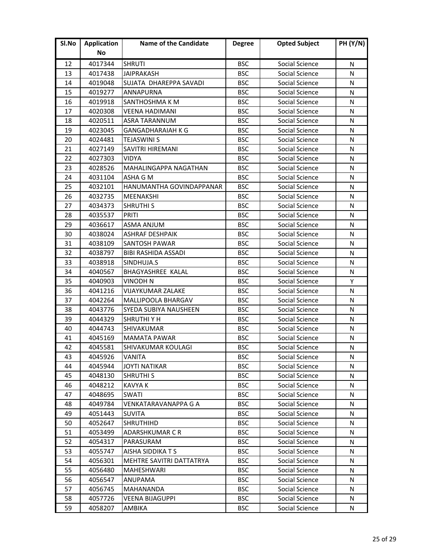| Sl.No | <b>Application</b> | <b>Name of the Candidate</b> | <b>Degree</b> | <b>Opted Subject</b> | <b>PH (Y/N)</b> |
|-------|--------------------|------------------------------|---------------|----------------------|-----------------|
|       | No                 |                              |               |                      |                 |
| 12    | 4017344            | <b>SHRUTI</b>                | <b>BSC</b>    | Social Science       | N               |
| 13    | 4017438            | <b>JAIPRAKASH</b>            | <b>BSC</b>    | Social Science       | N               |
| 14    | 4019048            | SUJATA DHAREPPA SAVADI       | <b>BSC</b>    | Social Science       | N               |
| 15    | 4019277            | <b>ANNAPURNA</b>             | <b>BSC</b>    | Social Science       | N               |
| 16    | 4019918            | SANTHOSHMA K M               | <b>BSC</b>    | Social Science       | N               |
| 17    | 4020308            | <b>VEENA HADIMANI</b>        | <b>BSC</b>    | Social Science       | N               |
| 18    | 4020511            | <b>ASRA TARANNUM</b>         | <b>BSC</b>    | Social Science       | N               |
| 19    | 4023045            | <b>GANGADHARAIAH K G</b>     | <b>BSC</b>    | Social Science       | N               |
| 20    | 4024481            | <b>TEJASWINI S</b>           | <b>BSC</b>    | Social Science       | N               |
| 21    | 4027149            | SAVITRI HIREMANI             | <b>BSC</b>    | Social Science       | N               |
| 22    | 4027303            | <b>VIDYA</b>                 | <b>BSC</b>    | Social Science       | N               |
| 23    | 4028526            | <b>MAHALINGAPPA NAGATHAN</b> | <b>BSC</b>    | Social Science       | N               |
| 24    | 4031104            | ASHA G M                     | <b>BSC</b>    | Social Science       | N               |
| 25    | 4032101            | HANUMANTHA GOVINDAPPANAR     | <b>BSC</b>    | Social Science       | N               |
| 26    | 4032735            | MEENAKSHI                    | <b>BSC</b>    | Social Science       | N               |
| 27    | 4034373            | <b>SHRUTHI S</b>             | <b>BSC</b>    | Social Science       | N               |
| 28    | 4035537            | <b>PRITI</b>                 | <b>BSC</b>    | Social Science       | N               |
| 29    | 4036617            | <b>ASMA ANJUM</b>            | <b>BSC</b>    | Social Science       | N               |
| 30    | 4038024            | <b>ASHRAF DESHPAIK</b>       | <b>BSC</b>    | Social Science       | N               |
| 31    | 4038109            | <b>SANTOSH PAWAR</b>         | <b>BSC</b>    | Social Science       | N               |
| 32    | 4038797            | <b>BIBI RASHIDA ASSADI</b>   | <b>BSC</b>    | Social Science       | N               |
| 33    | 4038918            | SINDHUJA.S                   | <b>BSC</b>    | Social Science       | N               |
| 34    | 4040567            | BHAGYASHREE KALAL            | <b>BSC</b>    | Social Science       | N               |
| 35    | 4040903            | <b>VINODH N</b>              | <b>BSC</b>    | Social Science       | Y               |
| 36    | 4041216            | <b>VIJAYKUMAR ZALAKE</b>     | <b>BSC</b>    | Social Science       | N               |
| 37    | 4042264            | MALLIPOOLA BHARGAV           | <b>BSC</b>    | Social Science       | N               |
| 38    | 4043776            | SYEDA SUBIYA NAUSHEEN        | <b>BSC</b>    | Social Science       | N               |
| 39    | 4044329            | <b>SHRUTHIYH</b>             | <b>BSC</b>    | Social Science       | N               |
| 40    | 4044743            | SHIVAKUMAR                   | <b>BSC</b>    | Social Science       | N               |
| 41    | 4045169            | <b>MAMATA PAWAR</b>          | <b>BSC</b>    | Social Science       | N               |
| 42    | 4045581            | SHIVAKUMAR KOULAGI           | <b>BSC</b>    | Social Science       | N               |
| 43    | 4045926            | VANITA                       | <b>BSC</b>    | Social Science       | N               |
| 44    | 4045944            | <b>JOYTI NATIKAR</b>         | <b>BSC</b>    | Social Science       | N               |
| 45    | 4048130            | <b>SHRUTHI S</b>             | <b>BSC</b>    | Social Science       | N               |
| 46    | 4048212            | <b>KAVYA K</b>               | <b>BSC</b>    | Social Science       | N               |
| 47    | 4048695            | <b>SWATI</b>                 | <b>BSC</b>    | Social Science       | N               |
| 48    | 4049784            | VENKATARAVANAPPA G A         | <b>BSC</b>    | Social Science       | N               |
| 49    | 4051443            | <b>SUVITA</b>                | <b>BSC</b>    | Social Science       | N               |
| 50    | 4052647            | <b>SHRUTHIHD</b>             | <b>BSC</b>    | Social Science       | N               |
| 51    | 4053499            | ADARSHKUMAR C R              | <b>BSC</b>    | Social Science       | N               |
| 52    | 4054317            | PARASURAM                    | <b>BSC</b>    | Social Science       | N               |
| 53    | 4055747            | AISHA SIDDIKA T S            | <b>BSC</b>    | Social Science       | N               |
| 54    | 4056301            | MEHTRE SAVITRI DATTATRYA     | <b>BSC</b>    | Social Science       | N               |
| 55    | 4056480            | <b>MAHESHWARI</b>            | <b>BSC</b>    | Social Science       | N               |
| 56    | 4056547            | ANUPAMA                      | <b>BSC</b>    | Social Science       | N               |
| 57    | 4056745            | <b>MAHANANDA</b>             | <b>BSC</b>    | Social Science       | N               |
| 58    | 4057726            | <b>VEENA BIJAGUPPI</b>       | <b>BSC</b>    | Social Science       | N               |
| 59    | 4058207            | AMBIKA                       | <b>BSC</b>    | Social Science       | N               |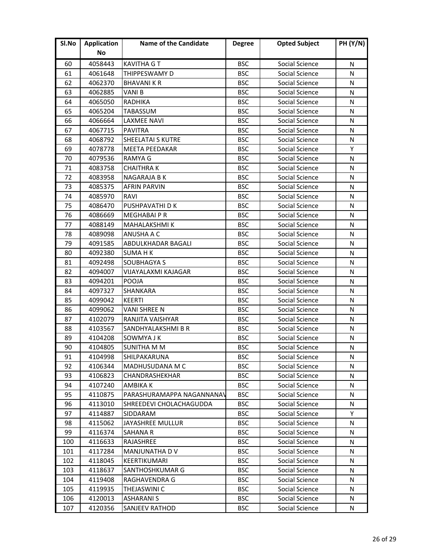| Sl.No | <b>Application</b> | <b>Name of the Candidate</b> | <b>Degree</b> | <b>Opted Subject</b> | <b>PH (Y/N)</b> |
|-------|--------------------|------------------------------|---------------|----------------------|-----------------|
|       | No                 |                              |               |                      |                 |
| 60    | 4058443            | <b>KAVITHA GT</b>            | <b>BSC</b>    | Social Science       | N               |
| 61    | 4061648            | THIPPESWAMY D                | <b>BSC</b>    | Social Science       | N               |
| 62    | 4062370            | <b>BHAVANI K R</b>           | <b>BSC</b>    | Social Science       | N               |
| 63    | 4062885            | <b>VANIB</b>                 | <b>BSC</b>    | Social Science       | N               |
| 64    | 4065050            | RADHIKA                      | <b>BSC</b>    | Social Science       | N               |
| 65    | 4065204            | <b>TABASSUM</b>              | <b>BSC</b>    | Social Science       | N               |
| 66    | 4066664            | <b>LAXMEE NAVI</b>           | <b>BSC</b>    | Social Science       | N               |
| 67    | 4067715            | <b>PAVITRA</b>               | <b>BSC</b>    | Social Science       | N               |
| 68    | 4068792            | <b>SHEELATAI S KUTRE</b>     | <b>BSC</b>    | Social Science       | N               |
| 69    | 4078778            | <b>MEETA PEEDAKAR</b>        | <b>BSC</b>    | Social Science       | Υ               |
| 70    | 4079536            | <b>RAMYA G</b>               | <b>BSC</b>    | Social Science       | N               |
| 71    | 4083758            | <b>CHAITHRAK</b>             | <b>BSC</b>    | Social Science       | N               |
| 72    | 4083958            | NAGARAJA B K                 | <b>BSC</b>    | Social Science       | N               |
| 73    | 4085375            | <b>AFRIN PARVIN</b>          | <b>BSC</b>    | Social Science       | N               |
| 74    | 4085970            | <b>RAVI</b>                  | <b>BSC</b>    | Social Science       | N               |
| 75    | 4086470            | PUSHPAVATHI D K              | <b>BSC</b>    | Social Science       | N               |
| 76    | 4086669            | <b>MEGHABAIPR</b>            | <b>BSC</b>    | Social Science       | N               |
| 77    | 4088149            | <b>MAHALAKSHMI K</b>         | <b>BSC</b>    | Social Science       | N               |
| 78    | 4089098            | <b>ANUSHA A C</b>            | <b>BSC</b>    | Social Science       | N               |
| 79    | 4091585            | ABDULKHADAR BAGALI           | <b>BSC</b>    | Social Science       | N               |
| 80    | 4092380            | <b>SUMA H K</b>              | <b>BSC</b>    | Social Science       | N               |
| 81    | 4092498            | <b>SOUBHAGYA S</b>           | <b>BSC</b>    | Social Science       | N               |
| 82    | 4094007            | VIJAYALAXMI KAJAGAR          | <b>BSC</b>    | Social Science       | N               |
| 83    | 4094201            | POOJA                        | <b>BSC</b>    | Social Science       | N               |
| 84    | 4097327            | <b>SHANKARA</b>              | <b>BSC</b>    | Social Science       | N               |
| 85    | 4099042            | <b>KEERTI</b>                | <b>BSC</b>    | Social Science       | N               |
| 86    | 4099062            | <b>VANI SHREE N</b>          | <b>BSC</b>    | Social Science       | N               |
| 87    | 4102079            | RANJITA VAISHYAR             | <b>BSC</b>    | Social Science       | N               |
| 88    | 4103567            | SANDHYALAKSHMI B R           | <b>BSC</b>    | Social Science       | N               |
| 89    | 4104208            | SOWMYA J K                   | <b>BSC</b>    | Social Science       | N               |
| 90    | 4104805            | <b>SUNITHA M M</b>           | <b>BSC</b>    | Social Science       | N               |
| 91    | 4104998            | SHILPAKARUNA                 | <b>BSC</b>    | Social Science       | N               |
| 92    | 4106344            | MADHUSUDANA M C              | <b>BSC</b>    | Social Science       | N               |
| 93    | 4106823            | <b>CHANDRASHEKHAR</b>        | <b>BSC</b>    | Social Science       | N               |
| 94    | 4107240            | <b>AMBIKA K</b>              | <b>BSC</b>    | Social Science       | N               |
| 95    | 4110875            | PARASHURAMAPPA NAGANNANAV    | <b>BSC</b>    | Social Science       | N               |
| 96    | 4113010            | SHREEDEVI CHOLACHAGUDDA      | <b>BSC</b>    | Social Science       | N               |
| 97    | 4114887            | <b>SIDDARAM</b>              | <b>BSC</b>    | Social Science       | Y               |
| 98    | 4115062            | JAYASHREE MULLUR             | <b>BSC</b>    | Social Science       | N               |
| 99    | 4116374            | <b>SAHANA R</b>              | <b>BSC</b>    | Social Science       | N               |
| 100   | 4116633            | RAJASHREE                    | <b>BSC</b>    | Social Science       | N               |
| 101   | 4117284            | <b>MANJUNATHA D V</b>        | <b>BSC</b>    | Social Science       | N               |
| 102   | 4118045            | KEERTIKUMARI                 | <b>BSC</b>    | Social Science       | N               |
| 103   | 4118637            | SANTHOSHKUMAR G              | <b>BSC</b>    | Social Science       | N               |
| 104   | 4119408            | RAGHAVENDRA G                | <b>BSC</b>    | Social Science       | N               |
| 105   | 4119935            | THEJASWINI C                 | <b>BSC</b>    | Social Science       | N               |
| 106   | 4120013            | <b>ASHARANI S</b>            | <b>BSC</b>    | Social Science       | N               |
| 107   | 4120356            | <b>SANJEEV RATHOD</b>        | <b>BSC</b>    | Social Science       | N               |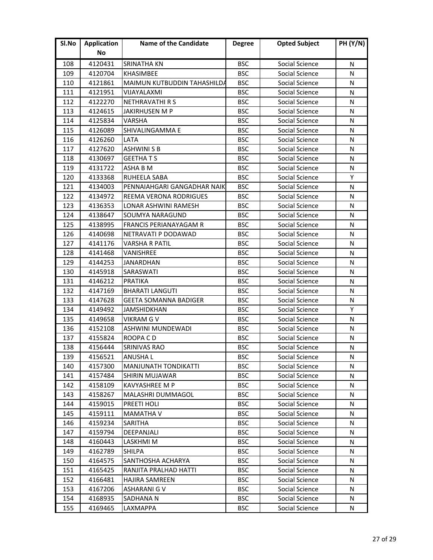| Sl.No | <b>Application</b> | <b>Name of the Candidate</b>  | <b>Degree</b> | <b>Opted Subject</b> | <b>PH (Y/N)</b> |
|-------|--------------------|-------------------------------|---------------|----------------------|-----------------|
|       | No                 |                               |               |                      |                 |
| 108   | 4120431            | <b>SRINATHA KN</b>            | <b>BSC</b>    | Social Science       | N               |
| 109   | 4120704            | <b>KHASIMBEE</b>              | <b>BSC</b>    | Social Science       | N               |
| 110   | 4121861            | MAIMUN KUTBUDDIN TAHASHILDA   | <b>BSC</b>    | Social Science       | N               |
| 111   | 4121951            | VIJAYALAXMI                   | <b>BSC</b>    | Social Science       | N               |
| 112   | 4122270            | NETHRAVATHI R S               | <b>BSC</b>    | Social Science       | N               |
| 113   | 4124615            | <b>JAKIRHUSEN M P</b>         | <b>BSC</b>    | Social Science       | N               |
| 114   | 4125834            | VARSHA                        | <b>BSC</b>    | Social Science       | N               |
| 115   | 4126089            | SHIVALINGAMMA E               | <b>BSC</b>    | Social Science       | N               |
| 116   | 4126260            | LATA                          | <b>BSC</b>    | Social Science       | N               |
| 117   | 4127620            | <b>ASHWINI S B</b>            | <b>BSC</b>    | Social Science       | N               |
| 118   | 4130697            | <b>GEETHATS</b>               | <b>BSC</b>    | Social Science       | N               |
| 119   | 4131722            | ASHA B M                      | <b>BSC</b>    | Social Science       | N               |
| 120   | 4133368            | <b>RUHEELA SABA</b>           | <b>BSC</b>    | Social Science       | Y               |
| 121   | 4134003            | PENNAIAHGARI GANGADHAR NAIK   | <b>BSC</b>    | Social Science       | N               |
| 122   | 4134972            | REEMA VERONA RODRIGUES        | <b>BSC</b>    | Social Science       | N               |
| 123   | 4136353            | LONAR ASHWINI RAMESH          | <b>BSC</b>    | Social Science       | N               |
| 124   | 4138647            | SOUMYA NARAGUND               | <b>BSC</b>    | Social Science       | N               |
| 125   | 4138995            | <b>FRANCIS PERIANAYAGAM R</b> | <b>BSC</b>    | Social Science       | N               |
| 126   | 4140698            | NETRAVATI P DODAWAD           | <b>BSC</b>    | Social Science       | N               |
| 127   | 4141176            | <b>VARSHA R PATIL</b>         | <b>BSC</b>    | Social Science       | N               |
| 128   | 4141468            | VANISHREE                     | <b>BSC</b>    | Social Science       | N               |
| 129   | 4144253            | <b>JANARDHAN</b>              | <b>BSC</b>    | Social Science       | N               |
| 130   | 4145918            | SARASWATI                     | <b>BSC</b>    | Social Science       | N               |
| 131   | 4146212            | <b>PRATIKA</b>                | <b>BSC</b>    | Social Science       | N               |
| 132   | 4147169            | <b>BHARATI LANGUTI</b>        | <b>BSC</b>    | Social Science       | N               |
| 133   | 4147628            | <b>GEETA SOMANNA BADIGER</b>  | <b>BSC</b>    | Social Science       | N               |
| 134   | 4149492            | JAMSHIDKHAN                   | <b>BSC</b>    | Social Science       | Y               |
| 135   | 4149658            | <b>VIKRAM G V</b>             | <b>BSC</b>    | Social Science       | N               |
| 136   | 4152108            | ASHWINI MUNDEWADI             | <b>BSC</b>    | Social Science       | N               |
| 137   | 4155824            | ROOPA CD                      | <b>BSC</b>    | Social Science       | N               |
| 138   | 4156444            | <b>SRINIVAS RAO</b>           | <b>BSC</b>    | Social Science       | N               |
| 139   | 4156521            | ANUSHA L                      | <b>BSC</b>    | Social Science       | N               |
| 140   | 4157300            | <b>MANJUNATH TONDIKATTI</b>   | <b>BSC</b>    | Social Science       | N               |
| 141   | 4157484            | SHIRIN MUJAWAR                | <b>BSC</b>    | Social Science       | N               |
| 142   | 4158109            | <b>KAVYASHREE M P</b>         | <b>BSC</b>    | Social Science       | N               |
| 143   | 4158267            | <b>MALASHRI DUMMAGOL</b>      | <b>BSC</b>    | Social Science       | N               |
| 144   | 4159015            | <b>PREETI HOLI</b>            | <b>BSC</b>    | Social Science       | N               |
| 145   | 4159111            | <b>MAMATHA V</b>              | <b>BSC</b>    | Social Science       | N               |
| 146   | 4159234            | <b>SARITHA</b>                | <b>BSC</b>    | Social Science       | N               |
| 147   | 4159794            | DEEPANJALI                    | <b>BSC</b>    | Social Science       | N               |
| 148   | 4160443            | LASKHMI M                     | <b>BSC</b>    | Social Science       | N               |
| 149   | 4162789            | <b>SHILPA</b>                 | <b>BSC</b>    | Social Science       | N               |
| 150   | 4164575            | SANTHOSHA ACHARYA             | <b>BSC</b>    | Social Science       | N               |
| 151   | 4165425            | RANJITA PRALHAD HATTI         | <b>BSC</b>    | Social Science       | N               |
| 152   | 4166481            | HAJIRA SAMREEN                | <b>BSC</b>    | Social Science       | N               |
| 153   | 4167206            | <b>ASHARANI G V</b>           | <b>BSC</b>    | Social Science       | N               |
| 154   | 4168935            | SADHANA N                     | <b>BSC</b>    | Social Science       | N               |
| 155   | 4169465            | LAXMAPPA                      | <b>BSC</b>    | Social Science       | N               |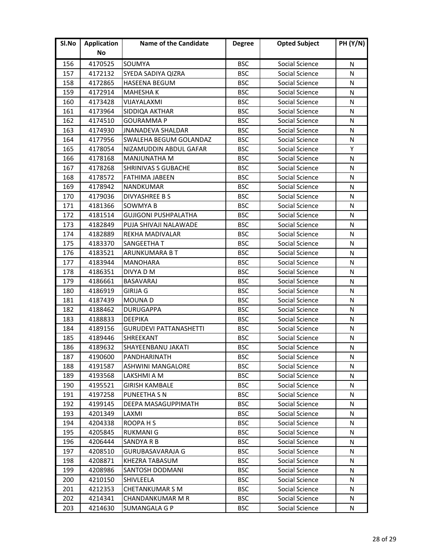| Sl.No | <b>Application</b> | <b>Name of the Candidate</b>  | <b>Degree</b> | <b>Opted Subject</b> | <b>PH (Y/N)</b> |
|-------|--------------------|-------------------------------|---------------|----------------------|-----------------|
|       | No                 |                               |               |                      |                 |
| 156   | 4170525            | SOUMYA                        | <b>BSC</b>    | Social Science       | N               |
| 157   | 4172132            | SYEDA SADIYA QIZRA            | <b>BSC</b>    | Social Science       | N               |
| 158   | 4172865            | <b>HASEENA BEGUM</b>          | <b>BSC</b>    | Social Science       | N               |
| 159   | 4172914            | <b>MAHESHAK</b>               | <b>BSC</b>    | Social Science       | N               |
| 160   | 4173428            | VIJAYALAXMI                   | <b>BSC</b>    | Social Science       | N               |
| 161   | 4173964            | SIDDIQA AKTHAR                | <b>BSC</b>    | Social Science       | N               |
| 162   | 4174510            | <b>GOURAMMA P</b>             | <b>BSC</b>    | Social Science       | N               |
| 163   | 4174930            | <b>JNANADEVA SHALDAR</b>      | <b>BSC</b>    | Social Science       | N               |
| 164   | 4177956            | SWALEHA BEGUM GOLANDAZ        | <b>BSC</b>    | Social Science       | N               |
| 165   | 4178054            | NIZAMUDDIN ABDUL GAFAR        | <b>BSC</b>    | Social Science       | Υ               |
| 166   | 4178168            | <b>MANJUNATHA M</b>           | <b>BSC</b>    | Social Science       | N               |
| 167   | 4178268            | <b>SHRINIVAS S GUBACHE</b>    | <b>BSC</b>    | Social Science       | N               |
| 168   | 4178572            | <b>FATHIMA JABEEN</b>         | <b>BSC</b>    | Social Science       | N               |
| 169   | 4178942            | <b>NANDKUMAR</b>              | <b>BSC</b>    | Social Science       | N               |
| 170   | 4179036            | <b>DIVYASHREE B S</b>         | <b>BSC</b>    | Social Science       | N               |
| 171   | 4181366            | <b>SOWMYA B</b>               | <b>BSC</b>    | Social Science       | N               |
| 172   | 4181514            | <b>GUJIGONI PUSHPALATHA</b>   | <b>BSC</b>    | Social Science       | N               |
| 173   | 4182849            | PUJA SHIVAJI NALAWADE         | <b>BSC</b>    | Social Science       | N               |
| 174   | 4182889            | <b>REKHA MADIVALAR</b>        | <b>BSC</b>    | Social Science       | N               |
| 175   | 4183370            | <b>SANGEETHA T</b>            | <b>BSC</b>    | Social Science       | N               |
| 176   | 4183521            | ARUNKUMARA B T                | <b>BSC</b>    | Social Science       | N               |
| 177   | 4183944            | <b>MANOHARA</b>               | <b>BSC</b>    | Social Science       | N               |
| 178   | 4186351            | DIVYA D M                     | <b>BSC</b>    | Social Science       | N               |
| 179   | 4186661            | <b>BASAVARAJ</b>              | <b>BSC</b>    | Social Science       | N               |
| 180   | 4186919            | <b>GIRIJA G</b>               | <b>BSC</b>    | Social Science       | N               |
| 181   | 4187439            | <b>MOUNAD</b>                 | <b>BSC</b>    | Social Science       | N               |
| 182   | 4188462            | <b>DURUGAPPA</b>              | <b>BSC</b>    | Social Science       | N               |
| 183   | 4188833            | <b>DEEPIKA</b>                | <b>BSC</b>    | Social Science       | N               |
| 184   | 4189156            | <b>GURUDEVI PATTANASHETTI</b> | <b>BSC</b>    | Social Science       | N               |
| 185   | 4189446            | <b>SHREEKANT</b>              | <b>BSC</b>    | Social Science       | N               |
| 186   | 4189632            | <b>SHAYEENBANU JAKATI</b>     | <b>BSC</b>    | Social Science       | N               |
| 187   | 4190600            | PANDHARINATH                  | <b>BSC</b>    | Social Science       | N               |
| 188   | 4191587            | <b>ASHWINI MANGALORE</b>      | <b>BSC</b>    | Social Science       | N               |
| 189   | 4193568            | LAKSHMI A M                   | <b>BSC</b>    | Social Science       | N               |
| 190   | 4195521            | <b>GIRISH KAMBALE</b>         | <b>BSC</b>    | Social Science       | N               |
| 191   | 4197258            | PUNEETHA S N                  | <b>BSC</b>    | Social Science       | N               |
| 192   | 4199145            | <b>DEEPA MASAGUPPIMATH</b>    | <b>BSC</b>    | Social Science       | N               |
| 193   | 4201349            | LAXMI                         | <b>BSC</b>    | Social Science       | N               |
| 194   | 4204338            | ROOPA H S                     | <b>BSC</b>    | Social Science       | N               |
| 195   | 4205845            | <b>RUKMANI G</b>              | <b>BSC</b>    | Social Science       | N               |
| 196   | 4206444            | <b>SANDYA R B</b>             | <b>BSC</b>    | Social Science       | N               |
| 197   | 4208510            | <b>GURUBASAVARAJA G</b>       | <b>BSC</b>    | Social Science       | N               |
| 198   | 4208871            | <b>KHEZRA TABASUM</b>         | <b>BSC</b>    | Social Science       | N               |
| 199   | 4208986            | <b>SANTOSH DODMANI</b>        | <b>BSC</b>    | Social Science       | N               |
| 200   | 4210150            | SHIVLEELA                     | <b>BSC</b>    | Social Science       | N               |
| 201   | 4212353            | <b>CHETANKUMAR S M</b>        | <b>BSC</b>    | Social Science       | N               |
| 202   | 4214341            | CHANDANKUMAR M R              | <b>BSC</b>    | Social Science       | N               |
| 203   | 4214630            | <b>SUMANGALA G P</b>          | <b>BSC</b>    | Social Science       | N               |